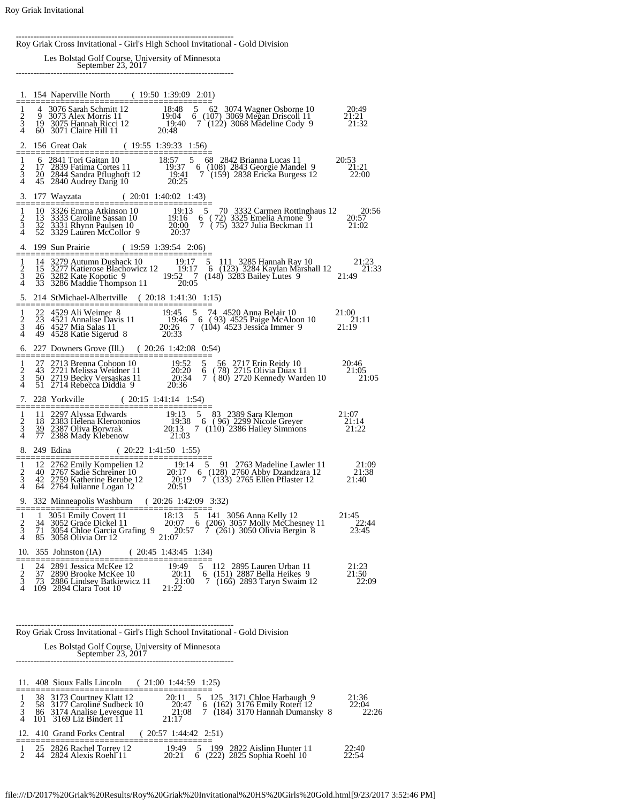--------------------------------------------------------------------------- Roy Griak Cross Invitational - Girl's High School Invitational - Gold Division Les Bolstad Golf Course, University of Minnesota September 23, 2017 --------------------------------------------------------------------------- 1. 154 Naperville North ( 19:50 1:39:09 2:01) 1 4 3076 Sarah Schmitt 12<br>
2 9 3073 Alex Morris 11<br>
3 19 3075 Hannah Ricci 12 1 4 3076 Sarah Schmitt 12 18:48 5 62 3074 Wagner Osborne 10 20:49 2 9 3073 Alex Morris 11 19:04 6 (107) 3069 Megan Driscoll 11 21:21 3 19 3075 Hannah Ricci 12 19:40 7 (122) 3068 Madeline Cody 9 21:32 4 60 3071 Claire Hill 11 20:48 2. 156 Great Oak ( 19:55 1:39:33 1:56) 6 2841 Tori Gaitan 10<br>17 2839 Fatima Cortes 11<br>20 2844 Sandra Pflughoft 12 1 6 2841 Tori Gaitan 10 18:57 5 68 2842 Brianna Lucas 11 20:53 2 17 2839 Fatima Cortes 11 19:37 6 (108) 2843 Georgie Mandel 9 21:21 3 20 2844 Sandra Pflughoft 12 19:41 7 (159) 2838 Ericka Burgess 12 22:00 4 45 2840 Audrey Dang 10 20:25 3. 177 Wayzata ( 20:01 1:40:02 1:43) ======================================== 1 10 3326 Emma Atkinson 10 19:13 5 70 3332 Carmen Rottinghaus 12 20:56 2 13 3333 Caroline Sassan 10 19:16 6 ( 72) 3325 Emelia Arnone 9 20:57 3 32 3331 Rhynn Paulsen 10 20:00 7 ( 75) 3327 Julia Beckman 11 21:02 2 13 3333 Caroline Sassan 10 19:16<br>3 32 3331 Rhynn Paulsen 10 20:00<br>4 52 3329 Lauren McCollor 9 20:37  $\frac{4.199 \text{ Sun Prairie}}{1 \times 1 \times 3279 \text{ Autumn Dushack } 10} = \frac{(19:59 \text{ } 1:39:54 \text{ } 2:06)}{1 \times 1 \times 1 \times 259 \text{ Autumn Dushack } 10} = \frac{19:17 \text{ } 5 \text{ } 111 \text{ } 3285 \text{ Hannah Ray } 10} {19:17 \text{ } 5 \text{ } 111 \text{ } 3285 \text{ Hannah Ray } 10} = \frac{21:23}{21:33 \text{ } 26 \text{ } 3282 \text$  5. 214 StMichael-Albertville ( 20:18 1:41:30 1:15) ======================================== 1 22 4529 Ali Weimer 8 19:45 5 74 4520 Anna Belair 10 21:00<br>
2 23 4521 Annalise Davis 11 19:46 6 (93) 4525 Paige McAloon 10 21:11<br>
3 46 4527 Mia Salas 11 20:26 7 (104) 4523 Jessica Immer 9 21:19 4 49 4528 Katie Sigerud 8 20:33 6. 227 Downers Grove (Ill.) ( 20:26 1:42:08 0:54) ======================================== 1 27 2713 Brenna Cohoon 10 19:52 5 56 2717 Erin Reidy 10 20:46 2 43 2721 Melissa Weidner 11 20:20 6 ( 78) 2715 Olivia Duax 11 21:05 3 50 2719 Becky Versaskas 11 20:34 7 ( 80) 2720 Kennedy Warden 10 21:05 4 51 2714 Rebecca Diddia 9 20:36 7. 228 Yorkville ( 20:15 1:41:14 1:54) ======================================== 1 11 2297 Alyssa Edwards 19:13 5 83 2389 Sara Klemon 21:07 2 18 2383 Helena Klerononios 19:38 6 ( 96) 2299 Nicole Greyer 21:14 3 39 2387 Oliva Borwrak 20:13 7 (110) 2386 Hailey Simmons 21:22 4 77 2388 Mady Klebenow 21:03 8. 249 Edina ( 20:22 1:41:50 1:55) ======================================== 1 12 2762 Emily Kompelien 12 19:14 5 91 2763 Madeline Lawler 11 21:09 2 40 2767 Sadie Schreiner 10 20:17 6 (128) 2760 Abby Dzandzara 12 21:38 3 42 2759 Katherine Berube 12 20:19 7 (133) 2765 Ellen Pflaster 12 21:40 4 64 2764 Julianne Logan 12 20:51 9. 332 Minneapolis Washburn ( 20:26 1:42:09 3:32) ======================================== 1 1 3051 Emily Covert 11 18:13 5 141 3056 Anna Kelly 12 21:45<br>2 34 3052 Grace Dickel 11 20:07 6 (206) 3057 Molly McChesney 11 22:44<br>3 71 3054 Chloe Garcia Grafing 9 20:57 7 (261) 3050 Olivia Bergin 8 23:45 <sup>2</sup> 34 3052 Grace Dickel 11<br>
3 71 3054 Chloe Garcia Grafing 9<br>
4 85 3058 Olivia Orr 12 10. 355 Johnston (IA) ( 20:45 1:43:45 1:34) ======================================== 1 24 2891 Jessica McKee 12 19:49 5 112 2895 Lauren Urban 11 21:23 2 37 2890 Brooke McKee 10 20:11 6 (151) 2887 Bella Heikes 9 21:50 3 73 2886 Lindsey Batkiewicz 11 21:00 7 (166) 2893 Taryn Swaim 12 22:09 4 109 2894 Clara Toot 10 21:22 --------------------------------------------------------------------------- Roy Griak Cross Invitational - Girl's High School Invitational - Gold Division Les Bolstad Golf Course, University of Minnesota September 23, 2017 --------------------------------------------------------------------------- 11. 408 Sioux Falls Lincoln ( 21:00 1:44:59 1:25) ======================================== 1 38 3173 Courtney Klatt 12 20:11 5 125 3171 Chloe Harbaugh 9 21:36

|  | $50-5175$ Courthey Knatt $12$<br>58 3177 Caroline Sudbeck 10<br>86 3174 Analise Levesque 11<br>$101 \quad 3169$ Liz Bindert $11$ | $20.11 \quad 0 \quad 120 \quad 0111 \quad 0.000$ Harvaugh 7<br>20:47 6 (162) 3176 Emily Rotert 12<br>7 (184) 3170 Hannah Dumansky 8<br>21:08<br>21.17 | 22:04<br>22:26 |
|--|----------------------------------------------------------------------------------------------------------------------------------|-------------------------------------------------------------------------------------------------------------------------------------------------------|----------------|
|  | 12. 410 Grand Forks Central (20:57 1:44:42 2:51)                                                                                 |                                                                                                                                                       |                |
|  | 25 2826 Rachel Torrey 12<br>44 2824 Alexis Roehl <sup>7</sup> 11                                                                 | 19:49 5 199 2822 Aislinn Hunter 11<br>6 (222) 2825 Sophia Roehl 10<br>20:21                                                                           | 22:40<br>22:54 |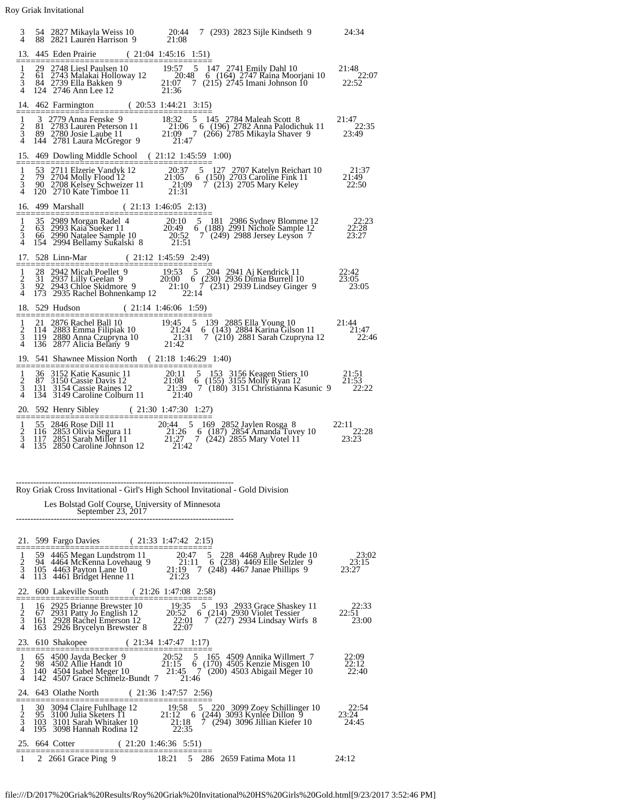| 3                                  |     | 54 2827 Mikayla Weiss 10 20:44 7 (293) 2823 Sijle Kindseth 9 24:34<br>88 2821 Lauren Harrison 9 21:08                                                                                                                                                                             |                                 |  |                                                                                                                                    |                                 |
|------------------------------------|-----|-----------------------------------------------------------------------------------------------------------------------------------------------------------------------------------------------------------------------------------------------------------------------------------|---------------------------------|--|------------------------------------------------------------------------------------------------------------------------------------|---------------------------------|
| $\frac{1}{2}$ $\frac{2}{3}$        |     | 13. 445 Eden Prairie (21:04 1:45:16 1:51)<br>29 2748 Liesl Paulsen 10 19:57 5 147 2741 Emily Dahl 10 21:48<br>61 2743 Malakai Holloway 12 20:48 6 (164) 2747 Raina Moorjani 10 22:07<br>84 2739 Ella Bakken 9 21:07 7 (215) 2745 Imani Johnson 10 22:52<br>124 2746 Ann Lee 12 21 |                                 |  |                                                                                                                                    |                                 |
|                                    |     | 14. 462 Farmington (20:53 1:44:21 3:15)                                                                                                                                                                                                                                           |                                 |  |                                                                                                                                    |                                 |
| $\frac{1}{2}$<br>$\frac{3}{4}$     |     | 3 2779 Anna Fenske 9 18:32 5 145 2784 Maleah Scott 8 21:47<br>81 2783 Lauren Peterson 11 21:06 6 (196) 2782 Anna Palodichuk 11 22:35<br>89 2780 Josie Laube 11 21:09 7 (266) 2785 Mikayla Shaver 9 23:49<br>144 2781 Laura McGregor                                               |                                 |  |                                                                                                                                    |                                 |
|                                    |     | 15. 469 Dowling Middle School (21:12 1:45:59 1:00)                                                                                                                                                                                                                                |                                 |  |                                                                                                                                    |                                 |
| $\frac{1}{2}$ $\frac{2}{3}$        |     | 53 2711 Elzerie Vandyk 12<br>79 2704 Molly Flood 12<br>90 2708 Kelsey Schweizer 11<br>121:05 6 (150) 2703 Caroline Fink 11<br>21:49<br>120 2710 Kate Timboe 11<br>21:31<br>21:31                                                                                                  |                                 |  |                                                                                                                                    |                                 |
|                                    |     | 16. 499 Marshall (21:13 1:46:05 2:13)                                                                                                                                                                                                                                             |                                 |  |                                                                                                                                    |                                 |
| $\frac{1}{2}$ $\frac{3}{4}$        |     |                                                                                                                                                                                                                                                                                   |                                 |  |                                                                                                                                    |                                 |
|                                    |     | 17. 528 Linn-Mar (21:12 1:45:59 2:49)                                                                                                                                                                                                                                             |                                 |  |                                                                                                                                    |                                 |
| $\frac{1}{2}$<br>$\frac{3}{4}$     |     | 28 2942 Micah Poellet 9 19:53 5 204 2941 Aj Kendrick 11 22:42<br>31 2937 Lilly Geelan 9 20:00 6 (230) 2936 Dimia Burrell 10 23:05<br>92 2943 Chloe Skidmore 9 21:10 7 (231) 2939 Lindsey Ginger 9 23:05<br>173 2935 Rachel Bohnenkam                                              |                                 |  |                                                                                                                                    |                                 |
|                                    |     | 18. 529 Hudson (21:14 1:46:06 1:59)                                                                                                                                                                                                                                               |                                 |  |                                                                                                                                    |                                 |
| $\frac{1}{2}$<br>4                 |     | 21 2876 Rachel Ball 10<br>19:45 5 139 2885 Ella Young 10<br>14 2883 Emma Filipiak 10<br>19 2880 Anna Czupryna 10<br>19 2880 Anna Czupryna 10<br>136 2877 Alicia Belany 9<br>21:42<br>22:42                                                                                        |                                 |  |                                                                                                                                    | 22:46                           |
|                                    |     | 19. 541 Shawnee Mission North (21:18 1:46:29 1:40)                                                                                                                                                                                                                                |                                 |  |                                                                                                                                    |                                 |
| $\mathbf{1}$<br>$\frac{2}{3}$      |     | 36 3152 Katie Kasunic 11 20:11 5 153 3156 Keagen Stiers 10 21:51<br>87 3150 Cassie Davis 12 21:08 6 (155) 3155 Molly Ryan 12 21:53<br>131 3154 Cassie Raines 12 21:39 7 (180) 3151 Christianna Kasunic 9 22:22<br>134 3149 Caroline                                               |                                 |  |                                                                                                                                    |                                 |
|                                    |     | 20. 592 Henry Sibley (21:30 1:47:30 1:27)                                                                                                                                                                                                                                         |                                 |  |                                                                                                                                    |                                 |
| $\frac{1}{2}$                      |     | -55 2846 Rose Dill 11<br>20:44 - 5 169 2852 Jaylen Rosga 8<br>116 2853 Olivia Segura 11<br>117 2851 Sarah Miller 11<br>135 2850 Caroline Johnson 12<br>21:42<br>21:42                                                                                                             |                                 |  |                                                                                                                                    | 22:11<br>23.28<br>$23:\bar{2}3$ |
|                                    |     | Roy Griak Cross Invitational - Girl's High School Invitational - Gold Division                                                                                                                                                                                                    |                                 |  |                                                                                                                                    |                                 |
|                                    |     | Les Bolstad Golf Course, University of Minnesota<br>September 23, 2017                                                                                                                                                                                                            |                                 |  |                                                                                                                                    |                                 |
|                                    |     | 21. 599 Fargo Davies                                                                                                                                                                                                                                                              | $(21:33 \t1:47:42 \t2:15)$      |  |                                                                                                                                    |                                 |
| $\mathbf{1}$<br>$\frac{2}{3}$<br>4 |     | 59 4465 Megan Lundstrom 11<br>94 4464 McKenna Lovehaug 9<br>105 4463 Payton Lane 10<br>113 4461 Bridget Henne 11                                                                                                                                                                  | 21:19<br>21:23                  |  | 20:47 5 228 4468 Aubrey Rude 10<br>21:11 6 (238) 4469 Elle Selzler 9<br>5 228 4468 Aubrey Rude 10<br>7 (248) 4467 Janae Phillips 9 | 23:02<br>23:15<br>23:27         |
| 22.                                |     | 600 Lakeville South                                                                                                                                                                                                                                                               | (21:261:47:082:58)              |  |                                                                                                                                    |                                 |
| $\frac{1}{2}$<br>$\frac{3}{4}$     |     | 16 2925 Brianne Brewster 10<br>67 2931 Patty Jo English 12<br>161 2928 Rachel Emerson 12<br>163 2926 Brycelyn Brewster 8                                                                                                                                                          | 19:35<br>22:01<br>22:07         |  | 19:35 5 193 2933 Grace Shaskey 11<br>20:52 6 (214) 2930 Violet Tessier<br>7 (227) 2934 Lindsay Wirfs 8                             | 22:33<br>22:51<br>23:00         |
| 23.                                |     | 610 Shakopee<br>$(21:34 \t1:47:47 \t1:17)$                                                                                                                                                                                                                                        |                                 |  |                                                                                                                                    |                                 |
| $\frac{1}{2}$<br>4                 |     | 92000 Jayda Becker 9<br>2003 5 165 4509 Annika Willmert 7<br>98 4502 Alie Handt 10<br>140 4504 Isabel Meger 10<br>142 4507 Grace Schmelz-Bundt 7<br>142 4507 Grace Schmelz-Bundt 7<br>142 4507 Grace Schmelz-Bundt 7<br>142 4507 Grace Schme                                      |                                 |  |                                                                                                                                    | 22:09<br>22:12<br>22:40         |
|                                    |     | 24. 643 Olathe North                                                                                                                                                                                                                                                              | $(21:36 \t1:47:57 \t2:56)$      |  |                                                                                                                                    |                                 |
| ==<br>$\frac{1}{2}$<br>4           | 195 | 30 3094 Claire Fuhlhage 12<br>95 3100 Julia Sketers 11<br>103 3101 Sarah Whitaker 10<br>3098 Hannah Rodina 12                                                                                                                                                                     | 22:35                           |  | 19:58 5 220 3099 Zoey Schillinger 10<br>21:12 6 (244) 3093 Kynlee Dillon 9<br>21:18 7 (294) 3096 Jillian Kiefer 10                 | 22:54<br>23:24<br>24:45         |
|                                    |     | 25. 664 Cotter<br>(21:201:46:365:51)                                                                                                                                                                                                                                              |                                 |  |                                                                                                                                    |                                 |
| 1                                  |     | 2 2661 Grace Ping 9                                                                                                                                                                                                                                                               | 18:21 5 286 2659 Fatima Mota 11 |  |                                                                                                                                    | 24:12                           |

file:///D/2017%20Griak%20Results/Roy%20Griak%20Invitational%20HS%20Girls%20Gold.html[9/23/2017 3:52:46 PM]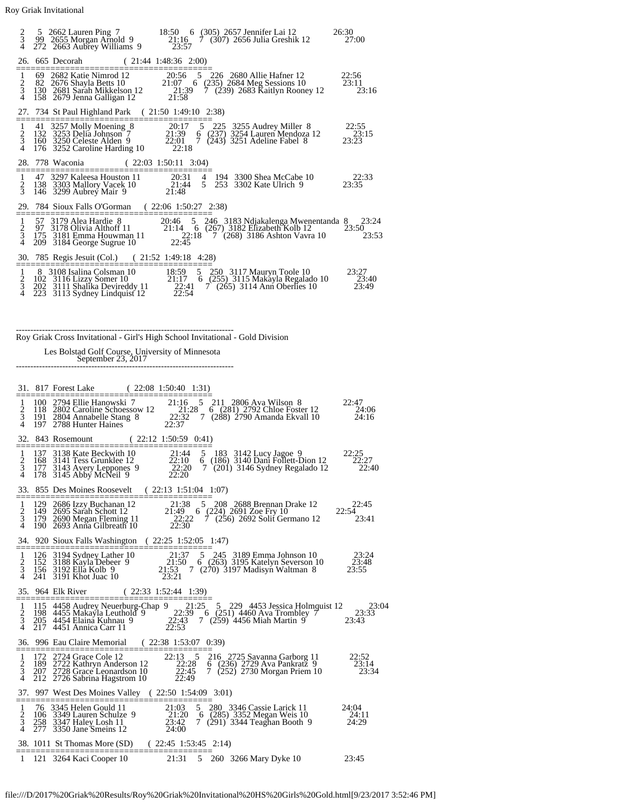| $\frac{2}{3}$<br>$\overline{4}$      |     |                                                                                                                                                                                                                                   | 5 2662 Lauren Ping 7 18:50 6 (305) 2657 Jennifer Lai 12<br>99 2655 Morgan Arnold 9 21:16 7 (307) 2656 Julia Greshik 12<br>272 2663 Aubrey Williams 9 23:57                                                                                                                                        | 26:30<br>27:00          |
|--------------------------------------|-----|-----------------------------------------------------------------------------------------------------------------------------------------------------------------------------------------------------------------------------------|---------------------------------------------------------------------------------------------------------------------------------------------------------------------------------------------------------------------------------------------------------------------------------------------------|-------------------------|
|                                      |     | 26. 665 Decorah (21:44 1:48:36 2:00)                                                                                                                                                                                              |                                                                                                                                                                                                                                                                                                   |                         |
| 1<br>$\frac{2}{3}$                   |     | 69 2682 Katie Nimrod 12 20:56<br>82 2676 Shayla Betts 10 21:07 6<br>130 2681 Sarah Mikkelson 12 21:39<br>158 2679 Jenna Galligan 12                                                                                               | 5 226 2680 Allie Hafner 12<br>21:07 6 (235) 2684 Meg Sessions 10<br>7 (239) 2683 Kaitlyn Rooney 12<br>21:58                                                                                                                                                                                       | 22:56<br>23:11<br>23:16 |
|                                      |     | 27. 734 St Paul Highland Park (21:50 1:49:10 2:38)                                                                                                                                                                                |                                                                                                                                                                                                                                                                                                   |                         |
| 1<br>$\frac{2}{3}$<br>$\overline{4}$ | 132 |                                                                                                                                                                                                                                   | 41 3257 Molly Moening 8 20:17 5 225 3255 Audrey Miller 8<br>132 3253 Delia Johnson 7 21:39 6 (237) 3254 Lauren Mendoza 12<br>160 3250 Celeste Alden 9 22:01 7 (243) 3251 Adeline Fabel 8<br>176 3252 Caroline Harding 10 22:18                                                                    | 22:55<br>23:15<br>23:23 |
|                                      |     | 28. 778 Waconia (22:03 1:50:11 3:04)                                                                                                                                                                                              |                                                                                                                                                                                                                                                                                                   |                         |
| 1<br>$\frac{2}{3}$                   |     | 47 3297 Kaleesa Houston 11<br>138 3303 Mallory Vacek 10 21:44<br>146 3299 Aubrey Mair 9 21:48                                                                                                                                     | 20:31 4 194 3300 Shea McCabe 10<br>5 253 3302 Kate Ulrich 9                                                                                                                                                                                                                                       | 22:33<br>23:35          |
|                                      |     | 29. 784 Sioux Falls O'Gorman (22:06 1:50:27 2:38)                                                                                                                                                                                 |                                                                                                                                                                                                                                                                                                   |                         |
| $\frac{1}{2}$<br>4                   |     | 209 3184 George Sugrue 10                                                                                                                                                                                                         | 57 3179 Alea Hardie 8 20:46 5 246 3183 Ndjakalenga Mwene<br>97 3178 Olivia Althoff 11 21:14 6 (267) 3182 Elizabeth Kolb 12<br>175 3181 Emma Houwman 11 22:18 7 (268) 3186 Ashton Vavra<br>20:46 5 246 3183 Ndjakalenga Mwenentanda 8<br>$22:18$ $\degree$ 7 $(268)$ 3186 Ashton Vavra 10<br>22:45 | 23:24<br>23:50<br>23:53 |
|                                      |     | 30. 785 Regis Jesuit (Col.) (21:52 1:49:18 4:28)                                                                                                                                                                                  |                                                                                                                                                                                                                                                                                                   |                         |
| 1<br>$rac{2}{3}$<br>4                | 223 | 8 3108 Isalina Colsman 10<br>8 3108 Isanna Consinant in 10<br>102 3116 Lizzy Somer 10 21:17<br>202 3111 Stadika Devireddy 11 22:41<br>202 3111 Stadison Lindonist 12 22:54<br>102 3116 Lizzy Somer 10<br>3113 Sydney Lindquist 12 | 18:59 5 250 3117 Mauryn Toole 10<br>21:17 6 (255) 3115 Makayla Regalado 10<br>7 (265) 3114 Ann Oberlies 10                                                                                                                                                                                        | 23:27<br>23:40<br>23:49 |

## --------------------------------------------------------------------------- Roy Griak Cross Invitational - Girl's High School Invitational - Gold Division

Les Bolstad Golf Course, University of Minnesota September 23, 2017 ---------------------------------------------------------------------------

|                                              |            | 31. 817 Forest Lake<br>(22:081:50:401:31)                                                                                                                                                                                                                                                                                      |                             |
|----------------------------------------------|------------|--------------------------------------------------------------------------------------------------------------------------------------------------------------------------------------------------------------------------------------------------------------------------------------------------------------------------------|-----------------------------|
| 1<br>$\frac{2}{3}$<br>4                      |            | 100 2794 Ellie Hanowski 7 21:16 5 211 2806 Ava Wilson 8<br>118 2802 Caroline Schoessow 12 21:28 6 (281) 2792 Chloe Foster 12<br>191 2804 Annabelle Stang 8 22:32 7 (288) 2790 Amanda Ekvall 10<br>197 2788 Hunter Haines 22:37                                                                                                 | 22:47<br>$^{24:06}_{24:16}$ |
| 32.                                          |            | 843 Rosemount (22:12 1:50:59 0:41)                                                                                                                                                                                                                                                                                             |                             |
| $\mathbf{1}$<br>$\frac{2}{3}$<br>4           |            | 168 3141 Tess Grunklee 12<br>168 3141 Tess Grunklee 12 22:10<br>177 3143 Avery Leppones 9 22:20<br>178 3145 Abby McNeil 9 22:20<br>21:44<br>5 183 3142 Lucy Jagoe 9<br>5 185 3142 Lucy Jagoe 9<br>6 (186) 3140 Dani Follett-Dion 12 22:27<br>7 (201) 3146 Sydney Regalado 12 22:40<br>22:10<br>7 (201) 3146 Sydney Regalado 12 | 22:25                       |
| 33.                                          |            | 855 Des Moines Roosevelt<br>(22:131:51:041:07)                                                                                                                                                                                                                                                                                 |                             |
| 1                                            |            | 21:38 5 208 2688 Brennan Drake 12                                                                                                                                                                                                                                                                                              | 22:45<br>22:54              |
| $\frac{2}{3}$<br>4                           |            | 129 2686 Izzy Buchanan 12 21:38 5 208 2688 Brennan Drake 12<br>149 2695 Sarah Schott 12 21:49 6 (224) 2691 Zoe Fry 10<br>179 2690 Megan Fleming 11 22:22 7 (256) 2692 Solit Germano 12<br>190 2693 Anna Gilbreath 10 22:30<br>7 (256) 2692 Solit Germano 12<br>190 2693 Anna Gilbreath 10                                      | 23:41                       |
| ===                                          |            | 34. 920 Sioux Falls Washington<br>$(22:25 \t1:52:05 \t1:47)$                                                                                                                                                                                                                                                                   |                             |
| 1<br>$\frac{2}{3}$<br>4                      |            | 126 3194 Sydney Lather 10 21:37 5 245 3189 Emma Johnson 10<br>152 3188 Kayla Debeer 9 21:50 6 (263) 3195 Katelyn Severson 10<br>156 3192 Ella Kolb 9 21:53 7 (270) 3197 Madisyn Waltman 8<br>241 3191 Khot Juac 10 23:21<br>23:21<br>241 3191 Khot Juac 10                                                                     | -23:24<br>23:48<br>23:55    |
|                                              |            | 35. 964 Elk River (22:33 1:52:44 1:39)                                                                                                                                                                                                                                                                                         |                             |
| 1<br>$\frac{2}{3}$<br>4                      |            | 115 4458 Audrey Neuerburg-Chap $9$ 21:25 5 229 4453 Jessica Holmquist 12<br>198 4455 Makayla Leuthold $9$ 22:39 6 (251) 4460 Ava Trombley 7<br>205 4454 Elaina Kuhnau 9 22:43 7 (259) 4456 Miah Martin 9<br>217 4451 Annica Carr 11 22                                                                                         | 23:04<br>23:33<br>23:43     |
|                                              |            | 36. 996 Eau Claire Memorial (22:38 1:53:07 0:39)                                                                                                                                                                                                                                                                               |                             |
| 1<br>$\frac{2}{3}$<br>4                      |            | 172 2724 Grace Cole 12 22:13 5<br>189 2722 Kathryn Anderson 12 22:28<br>207 2728 Grace Leonardson 10 22:45<br>212 2726 Sabrina Hagstrom 10 22:49<br>$22:13 \quad 5$<br>216 2725 Savanna Garborg 11<br>$6(236)$ 2729 Ava Pankratz 9 23:14<br>7 (252) 2730 Morgan Priem 10<br>212 2726 Sabrina Hagstrom 10                       | 22:52<br>23:34              |
| 37.                                          |            | 997 West Des Moines Valley (22:50 1:54:09 3:01)                                                                                                                                                                                                                                                                                |                             |
| ======<br>$\mathbf{1}$<br>$\frac{2}{3}$<br>4 | 258<br>277 | $\begin{array}{c} 21:03 \\ 21:20 \\ 23:42 \end{array}$<br>76 3345 Helen Gould 11<br>5 280 3346 Cassie Larick 11<br>5 280 3346 Cassie Larick 11<br>6 (285) 3352 Megan Weis 10<br>106 3349 Lauren Schulze 9<br>3347 Haley Losh 11<br>7 (291) 3344 Teaghan Booth 9<br>3350 Jane Smeins 12<br>24:00                                | 24:04<br>24:11<br>24:29     |
|                                              | =======    | 38. 1011 St Thomas More (SD) (22:45 1:53:45 2:14)                                                                                                                                                                                                                                                                              |                             |
| 1                                            |            | 21:31<br>5 260 3266 Mary Dyke 10<br>121 3264 Kaci Cooper 10                                                                                                                                                                                                                                                                    | 23:45                       |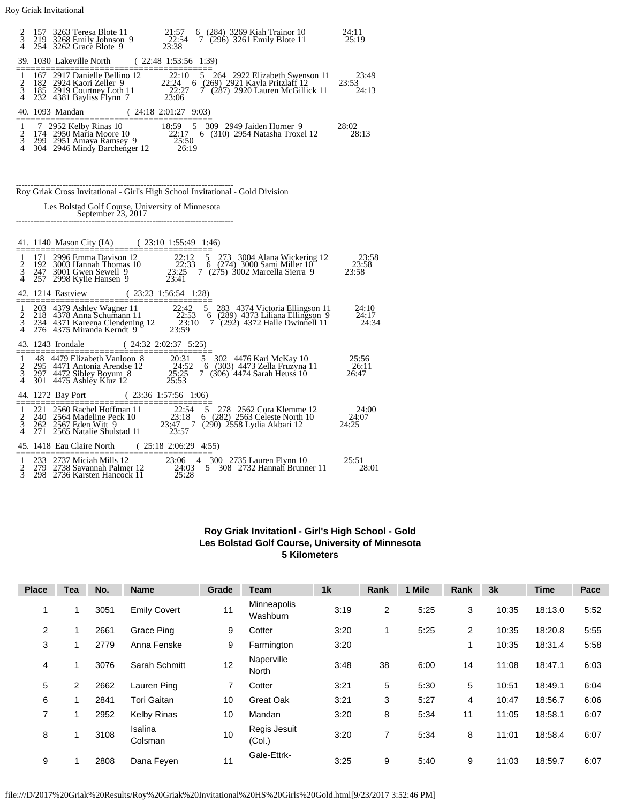| $\frac{2}{3}$  | 157<br>219 |                                                                        | 3263 Teresa Blote 11 21:57 6 (284) 3269 Kiah Trainor 10<br>3268 Emily Johnson 9 22:54 7 (296) 3261 Emily Blote 11<br>3262 Grace Blote 9 23:38                                                                                                    | 24:11<br>25:19        |
|----------------|------------|------------------------------------------------------------------------|--------------------------------------------------------------------------------------------------------------------------------------------------------------------------------------------------------------------------------------------------|-----------------------|
| 4              | 254        | 3262 Grace Blote 9                                                     |                                                                                                                                                                                                                                                  |                       |
|                |            | 39. 1030 Lakeville North                                               | (22:481:53:561:39)                                                                                                                                                                                                                               |                       |
|                |            |                                                                        | 167 2917 Danielle Bellino 12<br>182 2924 Kaori Zeller 9<br>182 2924 Kaori Zeller 9<br>182 2924 Kaori Zeller 9<br>182 2924 Kaori Zeller 9<br>182 2929 Courtney Loth 11<br>22:27 7 (287) 2920 Lauren McGillick 11<br>23:24 4381 Bayliss Flynn      | 23:49                 |
| $\frac{1}{2}$  |            |                                                                        |                                                                                                                                                                                                                                                  | 23:53<br>24:13        |
| 4              |            |                                                                        |                                                                                                                                                                                                                                                  |                       |
|                |            | 40. 1093 Mandan (24:18 2:01:27 9:03)                                   |                                                                                                                                                                                                                                                  |                       |
|                |            |                                                                        | 7 2952 Kelby Rinas 10 18:59 5 309 2949 Jaiden Horner 9 2<br>174 2950 Maria Moore 10 22:17 6 (310) 2954 Natasha Troxel 12<br>299 2951 Amaya Ramsey 9 25:50<br>304 2946 Mindy Barchenger 12 26:19                                                  | 28:02                 |
| $\frac{1}{2}$  |            |                                                                        |                                                                                                                                                                                                                                                  | 28:13                 |
| $\overline{A}$ |            |                                                                        |                                                                                                                                                                                                                                                  |                       |
|                |            |                                                                        |                                                                                                                                                                                                                                                  |                       |
|                |            |                                                                        |                                                                                                                                                                                                                                                  |                       |
|                |            |                                                                        | Roy Griak Cross Invitational - Girl's High School Invitational - Gold Division                                                                                                                                                                   |                       |
|                |            |                                                                        |                                                                                                                                                                                                                                                  |                       |
|                |            | Les Bolstad Golf Course, University of Minnesota<br>September 23, 2017 |                                                                                                                                                                                                                                                  |                       |
|                |            |                                                                        |                                                                                                                                                                                                                                                  |                       |
|                |            |                                                                        |                                                                                                                                                                                                                                                  |                       |
|                |            | 41. 1140 Mason City (IA) (23:10 1:55:49 1:46)                          |                                                                                                                                                                                                                                                  |                       |
|                | 192        |                                                                        |                                                                                                                                                                                                                                                  |                       |
| $\frac{1}{2}$  |            |                                                                        | 171 2996 Emma Davison 12<br>171 2996 Emma Davison 12<br>172 296 Emma Davison 12<br>172 2996 Hannah Thomas 10<br>22:33 6 (274) 3000 Sami Miller 10<br>23:58<br>247 3001 Gwen Sewell 9<br>23:25 7 (275) 3002 Marcella Sierra 9<br>23:58<br>257 299 |                       |
| 4              |            |                                                                        |                                                                                                                                                                                                                                                  |                       |
|                |            | 42. 1214 Eastview                                                      | $(23:23 \t1:56:54 \t1:28)$<br>================                                                                                                                                                                                                   |                       |
|                |            |                                                                        | 203 4379 Ashley Wagner 11 22:42 5 283 4374 Victoria Ellingson 11<br>218 4378 Anna Schumann 11 22:53 6 (289) 4373 Liliana Ellingson 9<br>234 4371 Kareena Clendening 12 23:10 7 (292) 4372 Halle Dwinnell 11<br>276 4375 Miranda Kern             | 24:10                 |
| $\frac{1}{2}$  |            |                                                                        |                                                                                                                                                                                                                                                  | 24:17<br>24:34        |
| 4              |            |                                                                        |                                                                                                                                                                                                                                                  |                       |
|                |            | 43. 1243 Irondale (24:32 2:02:37 5:25)                                 | ==============                                                                                                                                                                                                                                   |                       |
| 1              |            |                                                                        | 48 4479 Elizabeth Vanloon 8 20:31 5 302 4476 Kari McKay 10<br>295 4471 Antonia Arendse 12 24:52 6 (303) 4473 Zella Fruzyna 11<br>297 4472 Sibley Boyum 8 25:25 7 (306) 4474 Sarah Heuss 10<br>301 4475 Ashley Kluz 12 25:53                      | $\frac{25:56}{26:11}$ |
| $\frac{2}{3}$  |            |                                                                        |                                                                                                                                                                                                                                                  |                       |
|                |            |                                                                        |                                                                                                                                                                                                                                                  |                       |
|                |            | $(23:36 \t1:57:56 \t1:06)$<br>44. 1272 Bay Port                        |                                                                                                                                                                                                                                                  |                       |
| 1              |            |                                                                        | 221 2560 Rachel Hoffman 11 22:54 5 278 2562 Cora Klemme 12<br>240 2564 Madeline Peck 10 23:18 6 (282) 2563 Celeste North 10<br>262 2567 Eden Witt 9 23:47 7 (290) 2558 Lydia Akbari 12<br>271 2565 Natalie Shulstad 11 23:57                     | $24:00$<br>24:07      |
| $\frac{2}{3}$  |            |                                                                        |                                                                                                                                                                                                                                                  | 24:25                 |
| 4              |            |                                                                        |                                                                                                                                                                                                                                                  |                       |
|                | ========   | 45. 1418 Eau Claire North<br>=======================                   | (25:182:06:294:55)                                                                                                                                                                                                                               |                       |
|                |            |                                                                        |                                                                                                                                                                                                                                                  | 25:51                 |
| $\frac{1}{2}$  |            |                                                                        | 233 2737 Miciah Mills 12<br>279 2738 Savannah Palmer 12<br>298 2736 Karsten Hancock 11 25:28<br>2736 Karsten Hancock 11 25:28                                                                                                                    | 28:01                 |
|                |            |                                                                        |                                                                                                                                                                                                                                                  |                       |

## **Roy Griak Invitationl - Girl's High School - Gold Les Bolstad Golf Course, University of Minnesota 5 Kilometers**

| <b>Place</b>   | <b>Tea</b> | No.  | <b>Name</b>         | Grade | <b>Team</b>             | 1 <sub>k</sub> | Rank           | 1 Mile | Rank | 3k    | <b>Time</b> | Pace |
|----------------|------------|------|---------------------|-------|-------------------------|----------------|----------------|--------|------|-------|-------------|------|
|                |            | 3051 | <b>Emily Covert</b> | 11    | Minneapolis<br>Washburn | 3:19           | $\overline{2}$ | 5:25   | 3    | 10:35 | 18:13.0     | 5:52 |
| $\overline{2}$ |            | 2661 | Grace Ping          | 9     | Cotter                  | 3:20           |                | 5:25   | 2    | 10:35 | 18:20.8     | 5:55 |
| 3              |            | 2779 | Anna Fenske         | 9     | Farmington              | 3:20           |                |        | 1    | 10:35 | 18:31.4     | 5:58 |
| 4              |            | 3076 | Sarah Schmitt       | 12    | Naperville<br>North     | 3:48           | 38             | 6:00   | 14   | 11:08 | 18:47.1     | 6:03 |
| 5              | 2          | 2662 | Lauren Ping         | 7     | Cotter                  | 3:21           | 5              | 5:30   | 5    | 10:51 | 18:49.1     | 6:04 |
| 6              |            | 2841 | <b>Tori Gaitan</b>  | 10    | <b>Great Oak</b>        | 3:21           | 3              | 5:27   | 4    | 10:47 | 18:56.7     | 6:06 |
| $\overline{7}$ |            | 2952 | <b>Kelby Rinas</b>  | 10    | Mandan                  | 3:20           | 8              | 5:34   | 11   | 11:05 | 18:58.1     | 6:07 |
| 8              |            | 3108 | Isalina<br>Colsman  | 10    | Regis Jesuit<br>(Col.)  | 3:20           |                | 5:34   | 8    | 11:01 | 18:58.4     | 6:07 |
| 9              |            | 2808 | Dana Feyen          | 11    | Gale-Ettrk-             | 3:25           | 9              | 5:40   | 9    | 11:03 | 18:59.7     | 6:07 |

file:///D/2017%20Griak%20Results/Roy%20Griak%20Invitational%20HS%20Girls%20Gold.html[9/23/2017 3:52:46 PM]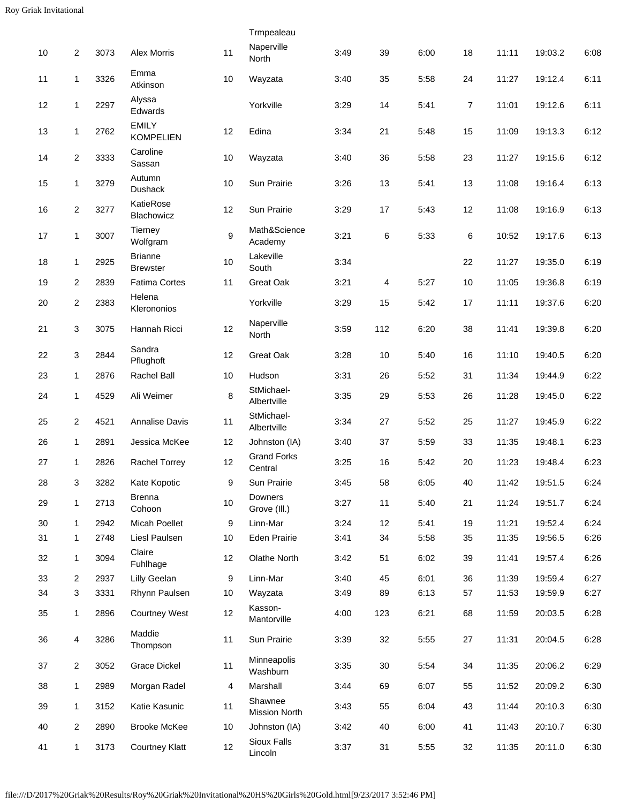|        |                  |      |                                   |                  | Trmpealeau                      |      |     |      |                |       |         |      |
|--------|------------------|------|-----------------------------------|------------------|---------------------------------|------|-----|------|----------------|-------|---------|------|
| $10$   | 2                | 3073 | Alex Morris                       | 11               | Naperville<br>North             | 3:49 | 39  | 6:00 | 18             | 11:11 | 19:03.2 | 6:08 |
| 11     | $\mathbf{1}$     | 3326 | Emma<br>Atkinson                  | 10               | Wayzata                         | 3:40 | 35  | 5:58 | 24             | 11:27 | 19:12.4 | 6:11 |
| 12     | 1                | 2297 | Alyssa<br>Edwards                 |                  | Yorkville                       | 3:29 | 14  | 5:41 | $\overline{7}$ | 11:01 | 19:12.6 | 6:11 |
| 13     | $\mathbf{1}$     | 2762 | <b>EMILY</b><br><b>KOMPELIEN</b>  | 12               | Edina                           | 3:34 | 21  | 5:48 | 15             | 11:09 | 19:13.3 | 6:12 |
| 14     | $\overline{c}$   | 3333 | Caroline<br>Sassan                | 10               | Wayzata                         | 3:40 | 36  | 5:58 | 23             | 11:27 | 19:15.6 | 6:12 |
| 15     | $\mathbf{1}$     | 3279 | Autumn<br><b>Dushack</b>          | 10               | Sun Prairie                     | 3:26 | 13  | 5:41 | 13             | 11:08 | 19:16.4 | 6:13 |
| 16     | $\boldsymbol{2}$ | 3277 | KatieRose<br>Blachowicz           | 12               | Sun Prairie                     | 3:29 | 17  | 5:43 | 12             | 11:08 | 19:16.9 | 6:13 |
| 17     | $\mathbf{1}$     | 3007 | Tierney<br>Wolfgram               | $\boldsymbol{9}$ | Math&Science<br>Academy         | 3:21 | 6   | 5:33 | 6              | 10:52 | 19:17.6 | 6:13 |
| 18     | 1                | 2925 | <b>Brianne</b><br><b>Brewster</b> | 10               | Lakeville<br>South              | 3:34 |     |      | 22             | 11:27 | 19:35.0 | 6:19 |
| 19     | 2                | 2839 | <b>Fatima Cortes</b>              | 11               | Great Oak                       | 3:21 | 4   | 5:27 | 10             | 11:05 | 19:36.8 | 6:19 |
| $20\,$ | $\overline{c}$   | 2383 | Helena<br>Klerononios             |                  | Yorkville                       | 3:29 | 15  | 5:42 | 17             | 11:11 | 19:37.6 | 6:20 |
| 21     | 3                | 3075 | Hannah Ricci                      | 12               | Naperville<br>North             | 3:59 | 112 | 6:20 | 38             | 11:41 | 19:39.8 | 6:20 |
| 22     | 3                | 2844 | Sandra<br>Pflughoft               | 12               | Great Oak                       | 3:28 | 10  | 5:40 | 16             | 11:10 | 19:40.5 | 6:20 |
| 23     | 1                | 2876 | <b>Rachel Ball</b>                | 10               | Hudson                          | 3:31 | 26  | 5:52 | 31             | 11:34 | 19:44.9 | 6:22 |
| 24     | $\mathbf{1}$     | 4529 | Ali Weimer                        | 8                | StMichael-<br>Albertville       | 3:35 | 29  | 5:53 | 26             | 11:28 | 19:45.0 | 6:22 |
| 25     | 2                | 4521 | Annalise Davis                    | 11               | StMichael-<br>Albertville       | 3:34 | 27  | 5:52 | 25             | 11:27 | 19:45.9 | 6:22 |
| 26     | $\mathbf{1}$     | 2891 | Jessica McKee                     | 12               | Johnston (IA)                   | 3:40 | 37  | 5:59 | 33             | 11:35 | 19:48.1 | 6:23 |
| 27     | $\mathbf{1}$     | 2826 | Rachel Torrey                     | 12               | <b>Grand Forks</b><br>Central   | 3:25 | 16  | 5:42 | 20             | 11:23 | 19:48.4 | 6:23 |
| 28     | $\mathfrak{S}$   | 3282 | Kate Kopotic                      | 9                | Sun Prairie                     | 3:45 | 58  | 6:05 | 40             | 11:42 | 19:51.5 | 6:24 |
| 29     | $\mathbf{1}$     | 2713 | <b>Brenna</b><br>Cohoon           | 10               | Downers<br>Grove (III.)         | 3:27 | 11  | 5:40 | 21             | 11:24 | 19:51.7 | 6:24 |
| 30     | $\mathbf{1}$     | 2942 | Micah Poellet                     | 9                | Linn-Mar                        | 3:24 | 12  | 5:41 | 19             | 11:21 | 19:52.4 | 6:24 |
| 31     | 1                | 2748 | Liesl Paulsen                     | $10$             | Eden Prairie                    | 3:41 | 34  | 5:58 | 35             | 11:35 | 19:56.5 | 6:26 |
| 32     | $\mathbf{1}$     | 3094 | Claire<br>Fuhlhage                | 12               | Olathe North                    | 3:42 | 51  | 6:02 | 39             | 11:41 | 19:57.4 | 6:26 |
| 33     | 2                | 2937 | Lilly Geelan                      | 9                | Linn-Mar                        | 3:40 | 45  | 6:01 | 36             | 11:39 | 19:59.4 | 6:27 |
| 34     | 3                | 3331 | Rhynn Paulsen                     | 10               | Wayzata                         | 3:49 | 89  | 6:13 | 57             | 11:53 | 19:59.9 | 6:27 |
| 35     | $\mathbf{1}$     | 2896 | <b>Courtney West</b>              | 12               | Kasson-<br>Mantorville          | 4:00 | 123 | 6:21 | 68             | 11:59 | 20:03.5 | 6:28 |
| 36     | 4                | 3286 | Maddie<br>Thompson                | 11               | Sun Prairie                     | 3:39 | 32  | 5:55 | 27             | 11:31 | 20:04.5 | 6:28 |
| 37     | $\overline{c}$   | 3052 | <b>Grace Dickel</b>               | 11               | Minneapolis<br>Washburn         | 3:35 | 30  | 5:54 | 34             | 11:35 | 20:06.2 | 6:29 |
| 38     | 1                | 2989 | Morgan Radel                      | 4                | Marshall                        | 3:44 | 69  | 6:07 | 55             | 11:52 | 20:09.2 | 6:30 |
| 39     | $\mathbf{1}$     | 3152 | Katie Kasunic                     | 11               | Shawnee<br><b>Mission North</b> | 3:43 | 55  | 6:04 | 43             | 11:44 | 20:10.3 | 6:30 |
| 40     | 2                | 2890 | <b>Brooke McKee</b>               | 10               | Johnston (IA)                   | 3:42 | 40  | 6:00 | 41             | 11:43 | 20:10.7 | 6:30 |
| 41     | $\mathbf{1}$     | 3173 | <b>Courtney Klatt</b>             | 12               | Sioux Falls<br>Lincoln          | 3:37 | 31  | 5:55 | 32             | 11:35 | 20:11.0 | 6:30 |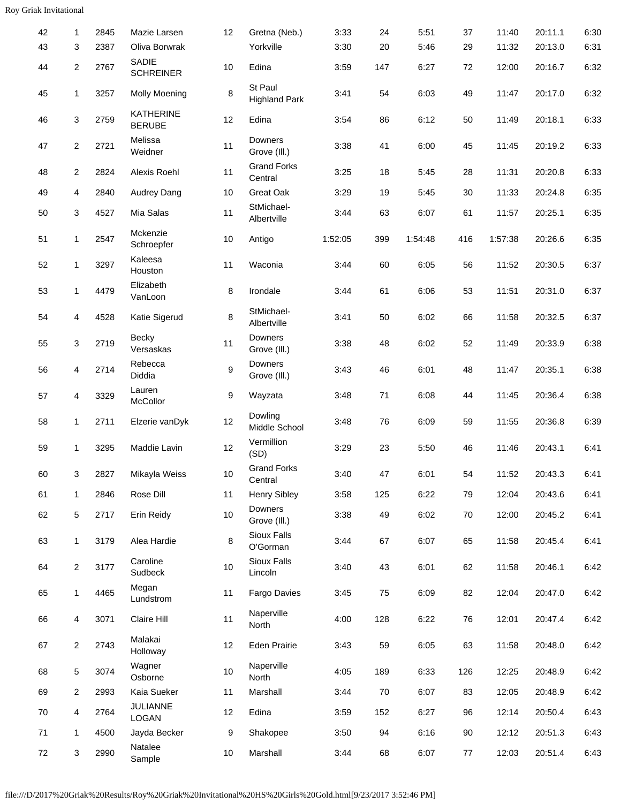| 42 | 1                       | 2845 | Mazie Larsen                      | 12   | Gretna (Neb.)                   | 3:33    | 24  | 5:51    | 37  | 11:40   | 20:11.1 | 6:30 |
|----|-------------------------|------|-----------------------------------|------|---------------------------------|---------|-----|---------|-----|---------|---------|------|
| 43 | 3                       | 2387 | Oliva Borwrak                     |      | Yorkville                       | 3:30    | 20  | 5:46    | 29  | 11:32   | 20:13.0 | 6:31 |
| 44 | $\overline{c}$          | 2767 | SADIE<br><b>SCHREINER</b>         | 10   | Edina                           | 3:59    | 147 | 6:27    | 72  | 12:00   | 20:16.7 | 6:32 |
| 45 | $\mathbf{1}$            | 3257 | <b>Molly Moening</b>              | 8    | St Paul<br><b>Highland Park</b> | 3:41    | 54  | 6:03    | 49  | 11:47   | 20:17.0 | 6:32 |
| 46 | 3                       | 2759 | <b>KATHERINE</b><br><b>BERUBE</b> | 12   | Edina                           | 3:54    | 86  | 6:12    | 50  | 11:49   | 20:18.1 | 6:33 |
| 47 | $\overline{c}$          | 2721 | Melissa<br>Weidner                | 11   | Downers<br>Grove (III.)         | 3:38    | 41  | 6:00    | 45  | 11:45   | 20:19.2 | 6:33 |
| 48 | $\overline{\mathbf{c}}$ | 2824 | Alexis Roehl                      | 11   | <b>Grand Forks</b><br>Central   | 3:25    | 18  | 5:45    | 28  | 11:31   | 20:20.8 | 6:33 |
| 49 | 4                       | 2840 | Audrey Dang                       | 10   | Great Oak                       | 3:29    | 19  | 5:45    | 30  | 11:33   | 20:24.8 | 6:35 |
| 50 | 3                       | 4527 | Mia Salas                         | 11   | StMichael-<br>Albertville       | 3:44    | 63  | 6:07    | 61  | 11:57   | 20:25.1 | 6:35 |
| 51 | 1                       | 2547 | Mckenzie<br>Schroepfer            | 10   | Antigo                          | 1:52:05 | 399 | 1:54:48 | 416 | 1:57:38 | 20:26.6 | 6:35 |
| 52 | $\mathbf{1}$            | 3297 | Kaleesa<br>Houston                | 11   | Waconia                         | 3:44    | 60  | 6:05    | 56  | 11:52   | 20:30.5 | 6:37 |
| 53 | $\mathbf{1}$            | 4479 | Elizabeth<br>VanLoon              | 8    | Irondale                        | 3:44    | 61  | 6:06    | 53  | 11:51   | 20:31.0 | 6:37 |
| 54 | 4                       | 4528 | Katie Sigerud                     | 8    | StMichael-<br>Albertville       | 3:41    | 50  | 6:02    | 66  | 11:58   | 20:32.5 | 6:37 |
| 55 | 3                       | 2719 | Becky<br>Versaskas                | 11   | Downers<br>Grove (III.)         | 3:38    | 48  | 6:02    | 52  | 11:49   | 20:33.9 | 6:38 |
| 56 | 4                       | 2714 | Rebecca<br>Diddia                 | 9    | <b>Downers</b><br>Grove (III.)  | 3:43    | 46  | 6:01    | 48  | 11:47   | 20:35.1 | 6:38 |
| 57 | 4                       | 3329 | Lauren<br>McCollor                | 9    | Wayzata                         | 3:48    | 71  | 6:08    | 44  | 11:45   | 20:36.4 | 6:38 |
| 58 | 1                       | 2711 | Elzerie vanDyk                    | 12   | Dowling<br>Middle School        | 3:48    | 76  | 6:09    | 59  | 11:55   | 20:36.8 | 6:39 |
| 59 | 1                       | 3295 | Maddie Lavin                      | 12   | Vermillion<br>(SD)              | 3:29    | 23  | 5:50    | 46  | 11:46   | 20:43.1 | 6:41 |
| 60 | 3                       | 2827 | Mikayla Weiss                     | 10   | <b>Grand Forks</b><br>Central   | 3:40    | 47  | 6:01    | 54  | 11:52   | 20:43.3 | 6:41 |
| 61 | 1                       | 2846 | Rose Dill                         | 11   | <b>Henry Sibley</b>             | 3:58    | 125 | 6:22    | 79  | 12:04   | 20:43.6 | 6:41 |
| 62 | 5                       | 2717 | Erin Reidy                        | 10   | Downers<br>Grove (III.)         | 3:38    | 49  | 6:02    | 70  | 12:00   | 20:45.2 | 6:41 |
| 63 | 1                       | 3179 | Alea Hardie                       | 8    | Sioux Falls<br>O'Gorman         | 3:44    | 67  | 6:07    | 65  | 11:58   | 20:45.4 | 6:41 |
| 64 | $\overline{c}$          | 3177 | Caroline<br>Sudbeck               | 10   | Sioux Falls<br>Lincoln          | 3:40    | 43  | 6:01    | 62  | 11:58   | 20:46.1 | 6:42 |
| 65 | 1                       | 4465 | Megan<br>Lundstrom                | 11   | Fargo Davies                    | 3:45    | 75  | 6:09    | 82  | 12:04   | 20:47.0 | 6:42 |
| 66 | 4                       | 3071 | Claire Hill                       | 11   | Naperville<br>North             | 4:00    | 128 | 6:22    | 76  | 12:01   | 20:47.4 | 6:42 |
| 67 | $\overline{c}$          | 2743 | Malakai<br>Holloway               | 12   | Eden Prairie                    | 3:43    | 59  | 6:05    | 63  | 11:58   | 20:48.0 | 6:42 |
| 68 | 5                       | 3074 | Wagner<br>Osborne                 | 10   | Naperville<br>North             | 4:05    | 189 | 6:33    | 126 | 12:25   | 20:48.9 | 6:42 |
| 69 | $\overline{c}$          | 2993 | Kaia Sueker                       | 11   | Marshall                        | 3:44    | 70  | 6:07    | 83  | 12:05   | 20:48.9 | 6:42 |
| 70 | 4                       | 2764 | <b>JULIANNE</b><br>LOGAN          | 12   | Edina                           | 3:59    | 152 | 6:27    | 96  | 12:14   | 20:50.4 | 6:43 |
| 71 | 1                       | 4500 | Jayda Becker                      | 9    | Shakopee                        | 3:50    | 94  | 6:16    | 90  | 12:12   | 20:51.3 | 6:43 |
| 72 | 3                       | 2990 | Natalee<br>Sample                 | $10$ | Marshall                        | 3:44    | 68  | 6:07    | 77  | 12:03   | 20:51.4 | 6:43 |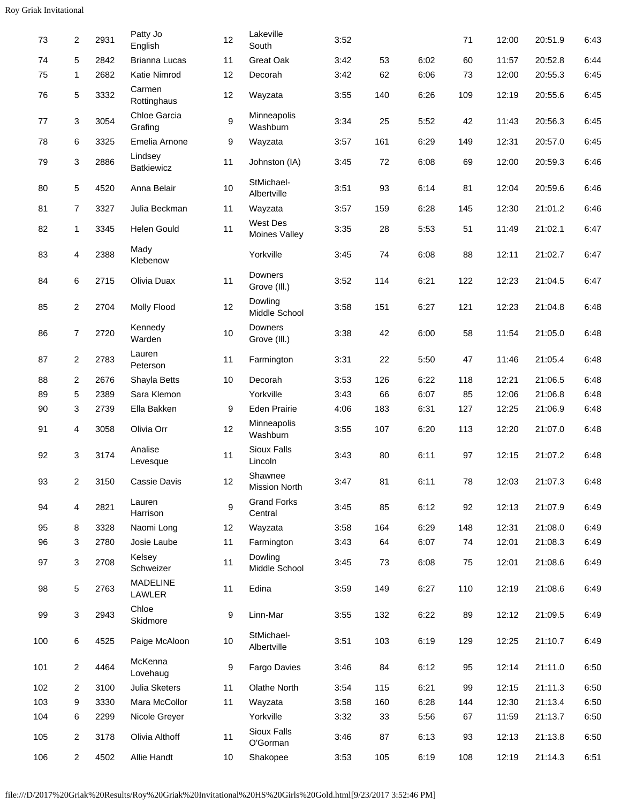| 73  | 2              | 2931 | Patty Jo<br>English          | 12               | Lakeville<br>South             | 3:52 |     |      | 71  | 12:00 | 20:51.9 | 6:43 |
|-----|----------------|------|------------------------------|------------------|--------------------------------|------|-----|------|-----|-------|---------|------|
| 74  | 5              | 2842 | Brianna Lucas                | 11               | Great Oak                      | 3:42 | 53  | 6:02 | 60  | 11:57 | 20:52.8 | 6:44 |
| 75  | 1              | 2682 | Katie Nimrod                 | 12               | Decorah                        | 3:42 | 62  | 6:06 | 73  | 12:00 | 20:55.3 | 6:45 |
| 76  | 5              | 3332 | Carmen<br>Rottinghaus        | 12               | Wayzata                        | 3:55 | 140 | 6:26 | 109 | 12:19 | 20:55.6 | 6:45 |
| 77  | 3              | 3054 | Chloe Garcia<br>Grafing      | $\boldsymbol{9}$ | Minneapolis<br>Washburn        | 3:34 | 25  | 5:52 | 42  | 11:43 | 20:56.3 | 6:45 |
| 78  | 6              | 3325 | Emelia Arnone                | 9                | Wayzata                        | 3:57 | 161 | 6:29 | 149 | 12:31 | 20:57.0 | 6:45 |
| 79  | 3              | 2886 | Lindsey<br><b>Batkiewicz</b> | 11               | Johnston (IA)                  | 3:45 | 72  | 6:08 | 69  | 12:00 | 20:59.3 | 6:46 |
| 80  | 5              | 4520 | Anna Belair                  | 10               | StMichael-<br>Albertville      | 3:51 | 93  | 6:14 | 81  | 12:04 | 20:59.6 | 6:46 |
| 81  | 7              | 3327 | Julia Beckman                | 11               | Wayzata                        | 3:57 | 159 | 6:28 | 145 | 12:30 | 21:01.2 | 6:46 |
| 82  | 1              | 3345 | Helen Gould                  | 11               | West Des<br>Moines Valley      | 3:35 | 28  | 5:53 | 51  | 11:49 | 21:02.1 | 6:47 |
| 83  | 4              | 2388 | Mady<br>Klebenow             |                  | Yorkville                      | 3:45 | 74  | 6:08 | 88  | 12:11 | 21:02.7 | 6:47 |
| 84  | 6              | 2715 | Olivia Duax                  | 11               | <b>Downers</b><br>Grove (III.) | 3:52 | 114 | 6:21 | 122 | 12:23 | 21:04.5 | 6:47 |
| 85  | 2              | 2704 | <b>Molly Flood</b>           | 12               | Dowling<br>Middle School       | 3:58 | 151 | 6:27 | 121 | 12:23 | 21:04.8 | 6:48 |
| 86  | 7              | 2720 | Kennedy<br>Warden            | $10$             | Downers<br>Grove (III.)        | 3:38 | 42  | 6:00 | 58  | 11:54 | 21:05.0 | 6:48 |
| 87  | 2              | 2783 | Lauren<br>Peterson           | 11               | Farmington                     | 3:31 | 22  | 5:50 | 47  | 11:46 | 21:05.4 | 6:48 |
| 88  | 2              | 2676 | Shayla Betts                 | 10               | Decorah                        | 3:53 | 126 | 6:22 | 118 | 12:21 | 21:06.5 | 6:48 |
| 89  | 5              | 2389 | Sara Klemon                  |                  | Yorkville                      | 3:43 | 66  | 6:07 | 85  | 12:06 | 21:06.8 | 6:48 |
| 90  | 3              | 2739 | Ella Bakken                  | 9                | <b>Eden Prairie</b>            | 4:06 | 183 | 6:31 | 127 | 12:25 | 21:06.9 | 6:48 |
| 91  | 4              | 3058 | Olivia Orr                   | 12               | Minneapolis<br>Washburn        | 3:55 | 107 | 6:20 | 113 | 12:20 | 21:07.0 | 6:48 |
| 92  | 3              | 3174 | Analise<br>Levesque          | 11               | Sioux Falls<br>Lincoln         | 3:43 | 80  | 6:11 | 97  | 12:15 | 21:07.2 | 6:48 |
| 93  | $\overline{2}$ | 3150 | Cassie Davis                 | 12               | Shawnee<br>Mission North       | 3:47 | 81  | 6:11 | 78  | 12:03 | 21:07.3 | 6:48 |
| 94  | 4              | 2821 | Lauren<br>Harrison           | $\boldsymbol{9}$ | <b>Grand Forks</b><br>Central  | 3:45 | 85  | 6:12 | 92  | 12:13 | 21:07.9 | 6:49 |
| 95  | 8              | 3328 | Naomi Long                   | 12               | Wayzata                        | 3:58 | 164 | 6:29 | 148 | 12:31 | 21:08.0 | 6:49 |
| 96  | 3              | 2780 | Josie Laube                  | 11               | Farmington                     | 3:43 | 64  | 6:07 | 74  | 12:01 | 21:08.3 | 6:49 |
| 97  | 3              | 2708 | Kelsey<br>Schweizer          | 11               | Dowling<br>Middle School       | 3:45 | 73  | 6:08 | 75  | 12:01 | 21:08.6 | 6:49 |
| 98  | 5              | 2763 | <b>MADELINE</b><br>LAWLER    | 11               | Edina                          | 3:59 | 149 | 6:27 | 110 | 12:19 | 21:08.6 | 6:49 |
| 99  | 3              | 2943 | Chloe<br>Skidmore            | 9                | Linn-Mar                       | 3:55 | 132 | 6:22 | 89  | 12:12 | 21:09.5 | 6:49 |
| 100 | 6              | 4525 | Paige McAloon                | $10\,$           | StMichael-<br>Albertville      | 3:51 | 103 | 6:19 | 129 | 12:25 | 21:10.7 | 6:49 |
| 101 | $\overline{c}$ | 4464 | McKenna<br>Lovehaug          | $\boldsymbol{9}$ | Fargo Davies                   | 3:46 | 84  | 6:12 | 95  | 12:14 | 21:11.0 | 6:50 |
| 102 | 2              | 3100 | Julia Sketers                | 11               | Olathe North                   | 3:54 | 115 | 6:21 | 99  | 12:15 | 21:11.3 | 6:50 |
| 103 | 9              | 3330 | Mara McCollor                | 11               | Wayzata                        | 3:58 | 160 | 6:28 | 144 | 12:30 | 21:13.4 | 6:50 |
| 104 | 6              | 2299 | Nicole Greyer                |                  | Yorkville                      | 3:32 | 33  | 5:56 | 67  | 11:59 | 21:13.7 | 6:50 |
| 105 | 2              | 3178 | Olivia Althoff               | 11               | Sioux Falls<br>O'Gorman        | 3:46 | 87  | 6:13 | 93  | 12:13 | 21:13.8 | 6:50 |
| 106 | 2              | 4502 | Allie Handt                  | 10               | Shakopee                       | 3:53 | 105 | 6:19 | 108 | 12:19 | 21:14.3 | 6:51 |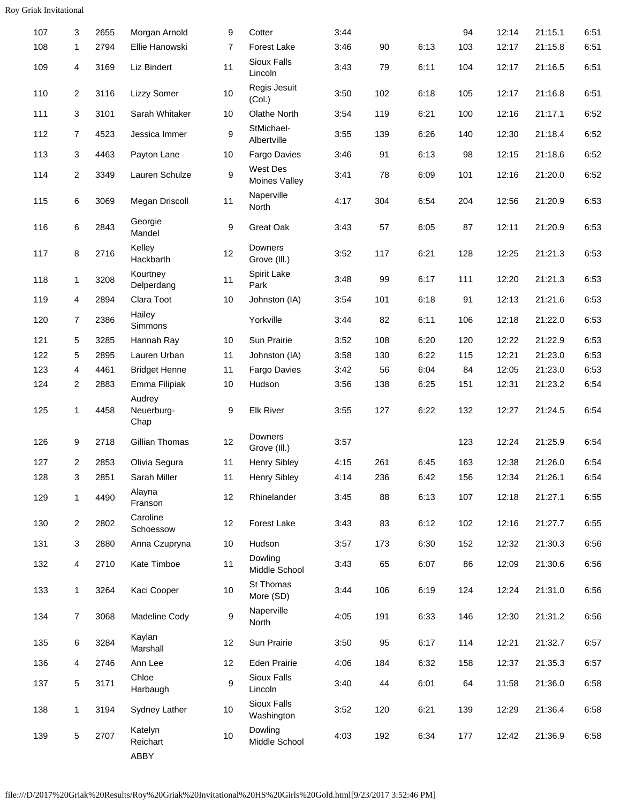| 107 | 3              | 2655 | Morgan Arnold                | 9              | Cotter                           | 3:44 |     |      | 94  | 12:14 | 21:15.1 | 6:51 |
|-----|----------------|------|------------------------------|----------------|----------------------------------|------|-----|------|-----|-------|---------|------|
| 108 | 1              | 2794 | Ellie Hanowski               | $\overline{7}$ | <b>Forest Lake</b>               | 3:46 | 90  | 6:13 | 103 | 12:17 | 21:15.8 | 6:51 |
| 109 | 4              | 3169 | Liz Bindert                  | 11             | Sioux Falls<br>Lincoln           | 3:43 | 79  | 6:11 | 104 | 12:17 | 21:16.5 | 6:51 |
| 110 | $\overline{2}$ | 3116 | <b>Lizzy Somer</b>           | 10             | Regis Jesuit<br>(Col.)           | 3:50 | 102 | 6:18 | 105 | 12:17 | 21:16.8 | 6:51 |
| 111 | 3              | 3101 | Sarah Whitaker               | $10$           | <b>Olathe North</b>              | 3:54 | 119 | 6:21 | 100 | 12:16 | 21:17.1 | 6:52 |
| 112 | $\overline{7}$ | 4523 | Jessica Immer                | 9              | StMichael-<br>Albertville        | 3:55 | 139 | 6:26 | 140 | 12:30 | 21:18.4 | 6:52 |
| 113 | 3              | 4463 | Payton Lane                  | 10             | <b>Fargo Davies</b>              | 3:46 | 91  | 6:13 | 98  | 12:15 | 21:18.6 | 6:52 |
| 114 | $\overline{2}$ | 3349 | Lauren Schulze               | 9              | <b>West Des</b><br>Moines Valley | 3:41 | 78  | 6:09 | 101 | 12:16 | 21:20.0 | 6:52 |
| 115 | 6              | 3069 | Megan Driscoll               | 11             | Naperville<br>North              | 4:17 | 304 | 6:54 | 204 | 12:56 | 21:20.9 | 6:53 |
| 116 | 6              | 2843 | Georgie<br>Mandel            | 9              | Great Oak                        | 3:43 | 57  | 6:05 | 87  | 12:11 | 21:20.9 | 6:53 |
| 117 | 8              | 2716 | Kelley<br>Hackbarth          | 12             | <b>Downers</b><br>Grove (III.)   | 3:52 | 117 | 6:21 | 128 | 12:25 | 21:21.3 | 6:53 |
| 118 | 1              | 3208 | Kourtney<br>Delperdang       | 11             | Spirit Lake<br>Park              | 3:48 | 99  | 6:17 | 111 | 12:20 | 21:21.3 | 6:53 |
| 119 | 4              | 2894 | Clara Toot                   | 10             | Johnston (IA)                    | 3:54 | 101 | 6:18 | 91  | 12:13 | 21:21.6 | 6:53 |
| 120 | $\overline{7}$ | 2386 | Hailey<br>Simmons            |                | Yorkville                        | 3:44 | 82  | 6:11 | 106 | 12:18 | 21:22.0 | 6:53 |
| 121 | 5              | 3285 | Hannah Ray                   | 10             | Sun Prairie                      | 3:52 | 108 | 6:20 | 120 | 12:22 | 21:22.9 | 6:53 |
| 122 | 5              | 2895 | Lauren Urban                 | 11             | Johnston (IA)                    | 3:58 | 130 | 6:22 | 115 | 12:21 | 21:23.0 | 6:53 |
| 123 | 4              | 4461 | <b>Bridget Henne</b>         | 11             | Fargo Davies                     | 3:42 | 56  | 6:04 | 84  | 12:05 | 21:23.0 | 6:53 |
| 124 | $\overline{2}$ | 2883 | Emma Filipiak                | 10             | Hudson                           | 3:56 | 138 | 6:25 | 151 | 12:31 | 21:23.2 | 6:54 |
| 125 | $\mathbf{1}$   | 4458 | Audrey<br>Neuerburg-<br>Chap | 9              | <b>Elk River</b>                 | 3:55 | 127 | 6:22 | 132 | 12:27 | 21:24.5 | 6:54 |
| 126 | 9              | 2718 | Gillian Thomas               | 12             | <b>Downers</b><br>Grove (III.)   | 3:57 |     |      | 123 | 12:24 | 21:25.9 | 6:54 |
| 127 | $\overline{2}$ | 2853 | Olivia Segura                | 11             | <b>Henry Sibley</b>              | 4:15 | 261 | 6:45 | 163 | 12:38 | 21:26.0 | 6:54 |
| 128 | 3              | 2851 | Sarah Miller                 | 11             | <b>Henry Sibley</b>              | 4:14 | 236 | 6:42 | 156 | 12:34 | 21:26.1 | 6:54 |
| 129 | $\mathbf{1}$   | 4490 | Alayna<br>Franson            | 12             | Rhinelander                      | 3:45 | 88  | 6:13 | 107 | 12:18 | 21:27.1 | 6:55 |
| 130 | $\overline{2}$ | 2802 | Caroline<br>Schoessow        | 12             | Forest Lake                      | 3:43 | 83  | 6:12 | 102 | 12:16 | 21:27.7 | 6:55 |
| 131 | 3              | 2880 | Anna Czupryna                | 10             | Hudson                           | 3:57 | 173 | 6:30 | 152 | 12:32 | 21:30.3 | 6:56 |
| 132 | 4              | 2710 | Kate Timboe                  | 11             | Dowling<br>Middle School         | 3:43 | 65  | 6:07 | 86  | 12:09 | 21:30.6 | 6:56 |
| 133 | $\mathbf{1}$   | 3264 | Kaci Cooper                  | 10             | St Thomas<br>More (SD)           | 3:44 | 106 | 6:19 | 124 | 12:24 | 21:31.0 | 6:56 |
| 134 | $\overline{7}$ | 3068 | Madeline Cody                | 9              | Naperville<br>North              | 4:05 | 191 | 6:33 | 146 | 12:30 | 21:31.2 | 6:56 |
| 135 | 6              | 3284 | Kaylan<br>Marshall           | 12             | Sun Prairie                      | 3:50 | 95  | 6:17 | 114 | 12:21 | 21:32.7 | 6:57 |
| 136 | 4              | 2746 | Ann Lee                      | 12             | <b>Eden Prairie</b>              | 4:06 | 184 | 6:32 | 158 | 12:37 | 21:35.3 | 6:57 |
| 137 | 5              | 3171 | Chloe<br>Harbaugh            | 9              | Sioux Falls<br>Lincoln           | 3:40 | 44  | 6:01 | 64  | 11:58 | 21:36.0 | 6:58 |
| 138 | $\mathbf{1}$   | 3194 | Sydney Lather                | 10             | Sioux Falls<br>Washington        | 3:52 | 120 | 6:21 | 139 | 12:29 | 21:36.4 | 6:58 |
| 139 | $\sqrt{5}$     | 2707 | Katelyn<br>Reichart<br>ABBY  | 10             | Dowling<br>Middle School         | 4:03 | 192 | 6:34 | 177 | 12:42 | 21:36.9 | 6:58 |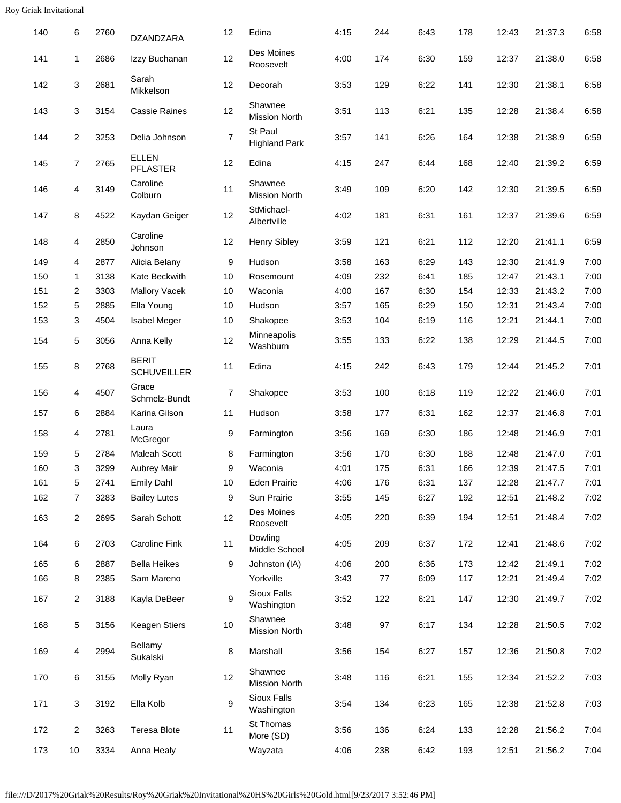| 140 | 6              | 2760 | DZANDZARA                          | 12             | Edina                            | 4:15 | 244 | 6:43 | 178 | 12:43 | 21:37.3 | 6:58 |
|-----|----------------|------|------------------------------------|----------------|----------------------------------|------|-----|------|-----|-------|---------|------|
| 141 | 1              | 2686 | Izzy Buchanan                      | 12             | Des Moines<br>Roosevelt          | 4:00 | 174 | 6:30 | 159 | 12:37 | 21:38.0 | 6:58 |
| 142 | 3              | 2681 | Sarah<br>Mikkelson                 | 12             | Decorah                          | 3:53 | 129 | 6:22 | 141 | 12:30 | 21:38.1 | 6:58 |
| 143 | 3              | 3154 | <b>Cassie Raines</b>               | 12             | Shawnee<br><b>Mission North</b>  | 3:51 | 113 | 6:21 | 135 | 12:28 | 21:38.4 | 6:58 |
| 144 | $\overline{2}$ | 3253 | Delia Johnson                      | $\overline{7}$ | St Paul<br><b>Highland Park</b>  | 3:57 | 141 | 6:26 | 164 | 12:38 | 21:38.9 | 6:59 |
| 145 | $\overline{7}$ | 2765 | <b>ELLEN</b><br><b>PFLASTER</b>    | 12             | Edina                            | 4:15 | 247 | 6:44 | 168 | 12:40 | 21:39.2 | 6:59 |
| 146 | 4              | 3149 | Caroline<br>Colburn                | 11             | Shawnee<br><b>Mission North</b>  | 3:49 | 109 | 6:20 | 142 | 12:30 | 21:39.5 | 6:59 |
| 147 | 8              | 4522 | Kaydan Geiger                      | 12             | StMichael-<br>Albertville        | 4:02 | 181 | 6:31 | 161 | 12:37 | 21:39.6 | 6:59 |
| 148 | 4              | 2850 | Caroline<br>Johnson                | 12             | <b>Henry Sibley</b>              | 3:59 | 121 | 6:21 | 112 | 12:20 | 21:41.1 | 6:59 |
| 149 | 4              | 2877 | Alicia Belany                      | 9              | Hudson                           | 3:58 | 163 | 6:29 | 143 | 12:30 | 21:41.9 | 7:00 |
| 150 | $\mathbf{1}$   | 3138 | Kate Beckwith                      | 10             | Rosemount                        | 4:09 | 232 | 6:41 | 185 | 12:47 | 21:43.1 | 7:00 |
| 151 | 2              | 3303 | <b>Mallory Vacek</b>               | 10             | Waconia                          | 4:00 | 167 | 6:30 | 154 | 12:33 | 21:43.2 | 7:00 |
| 152 | 5              | 2885 | Ella Young                         | 10             | Hudson                           | 3:57 | 165 | 6:29 | 150 | 12:31 | 21:43.4 | 7:00 |
| 153 | 3              | 4504 | Isabel Meger                       | 10             | Shakopee                         | 3:53 | 104 | 6:19 | 116 | 12:21 | 21:44.1 | 7:00 |
| 154 | 5              | 3056 | Anna Kelly                         | 12             | Minneapolis<br>Washburn          | 3:55 | 133 | 6:22 | 138 | 12:29 | 21:44.5 | 7:00 |
| 155 | 8              | 2768 | <b>BERIT</b><br><b>SCHUVEILLER</b> | 11             | Edina                            | 4:15 | 242 | 6:43 | 179 | 12:44 | 21:45.2 | 7:01 |
| 156 | 4              | 4507 | Grace<br>Schmelz-Bundt             | 7              | Shakopee                         | 3:53 | 100 | 6:18 | 119 | 12:22 | 21:46.0 | 7:01 |
| 157 | 6              | 2884 | Karina Gilson                      | 11             | Hudson                           | 3:58 | 177 | 6:31 | 162 | 12:37 | 21:46.8 | 7:01 |
| 158 | 4              | 2781 | Laura<br>McGregor                  | 9              | Farmington                       | 3:56 | 169 | 6:30 | 186 | 12:48 | 21:46.9 | 7:01 |
| 159 | 5              | 2784 | <b>Maleah Scott</b>                | 8              | Farmington                       | 3:56 | 170 | 6:30 | 188 | 12:48 | 21:47.0 | 7:01 |
| 160 | 3              | 3299 | Aubrey Mair                        | 9              | Waconia                          | 4:01 | 175 | 6:31 | 166 | 12:39 | 21:47.5 | 7:01 |
| 161 | 5              | 2741 | <b>Emily Dahl</b>                  | 10             | Eden Prairie                     | 4:06 | 176 | 6:31 | 137 | 12:28 | 21:47.7 | 7:01 |
| 162 | 7              | 3283 | <b>Bailey Lutes</b>                | 9              | Sun Prairie                      | 3:55 | 145 | 6:27 | 192 | 12:51 | 21:48.2 | 7:02 |
| 163 | 2              | 2695 | Sarah Schott                       | 12             | Des Moines<br>Roosevelt          | 4:05 | 220 | 6:39 | 194 | 12:51 | 21:48.4 | 7:02 |
| 164 | 6              | 2703 | <b>Caroline Fink</b>               | 11             | Dowling<br>Middle School         | 4:05 | 209 | 6:37 | 172 | 12:41 | 21:48.6 | 7:02 |
| 165 | 6              | 2887 | <b>Bella Heikes</b>                | 9              | Johnston (IA)                    | 4:06 | 200 | 6:36 | 173 | 12:42 | 21:49.1 | 7:02 |
| 166 | 8              | 2385 | Sam Mareno                         |                | Yorkville                        | 3:43 | 77  | 6:09 | 117 | 12:21 | 21:49.4 | 7:02 |
| 167 | $\overline{2}$ | 3188 | Kayla DeBeer                       | 9              | <b>Sioux Falls</b><br>Washington | 3:52 | 122 | 6:21 | 147 | 12:30 | 21:49.7 | 7:02 |
| 168 | 5              | 3156 | Keagen Stiers                      | 10             | Shawnee<br><b>Mission North</b>  | 3:48 | 97  | 6:17 | 134 | 12:28 | 21:50.5 | 7:02 |
| 169 | 4              | 2994 | Bellamy<br>Sukalski                | 8              | Marshall                         | 3:56 | 154 | 6:27 | 157 | 12:36 | 21:50.8 | 7:02 |
| 170 | 6              | 3155 | Molly Ryan                         | 12             | Shawnee<br>Mission North         | 3:48 | 116 | 6:21 | 155 | 12:34 | 21:52.2 | 7:03 |
| 171 | 3              | 3192 | Ella Kolb                          | 9              | Sioux Falls<br>Washington        | 3:54 | 134 | 6:23 | 165 | 12:38 | 21:52.8 | 7:03 |
| 172 | $\overline{2}$ | 3263 | <b>Teresa Blote</b>                | 11             | St Thomas<br>More (SD)           | 3:56 | 136 | 6:24 | 133 | 12:28 | 21:56.2 | 7:04 |
| 173 | 10             | 3334 | Anna Healy                         |                | Wayzata                          | 4:06 | 238 | 6:42 | 193 | 12:51 | 21:56.2 | 7:04 |
|     |                |      |                                    |                |                                  |      |     |      |     |       |         |      |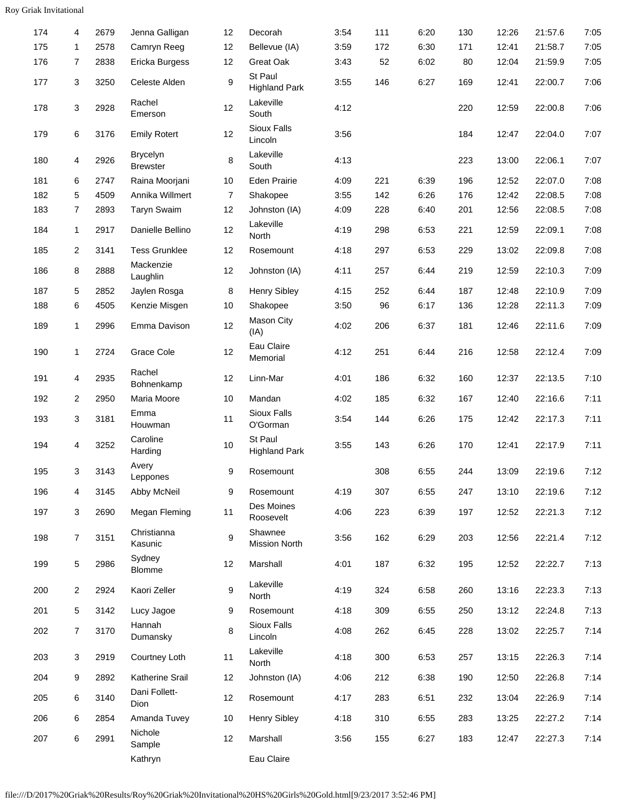| 174 | 4              | 2679 | Jenna Galligan                     | 12 | Decorah                         | 3:54 | 111 | 6:20 | 130 | 12:26 | 21:57.6 | 7:05 |
|-----|----------------|------|------------------------------------|----|---------------------------------|------|-----|------|-----|-------|---------|------|
| 175 | $\mathbf{1}$   | 2578 | Camryn Reeg                        | 12 | Bellevue (IA)                   | 3:59 | 172 | 6:30 | 171 | 12:41 | 21:58.7 | 7:05 |
| 176 | 7              | 2838 | Ericka Burgess                     | 12 | Great Oak                       | 3:43 | 52  | 6:02 | 80  | 12:04 | 21:59.9 | 7:05 |
| 177 | 3              | 3250 | Celeste Alden                      | 9  | St Paul<br><b>Highland Park</b> | 3:55 | 146 | 6:27 | 169 | 12:41 | 22:00.7 | 7:06 |
| 178 | 3              | 2928 | Rachel<br>Emerson                  | 12 | Lakeville<br>South              | 4:12 |     |      | 220 | 12:59 | 22:00.8 | 7:06 |
| 179 | 6              | 3176 | <b>Emily Rotert</b>                | 12 | Sioux Falls<br>Lincoln          | 3:56 |     |      | 184 | 12:47 | 22:04.0 | 7:07 |
| 180 | 4              | 2926 | <b>Brycelyn</b><br><b>Brewster</b> | 8  | Lakeville<br>South              | 4:13 |     |      | 223 | 13:00 | 22:06.1 | 7:07 |
| 181 | 6              | 2747 | Raina Moorjani                     | 10 | <b>Eden Prairie</b>             | 4:09 | 221 | 6:39 | 196 | 12:52 | 22:07.0 | 7:08 |
| 182 | 5              | 4509 | Annika Willmert                    | 7  | Shakopee                        | 3:55 | 142 | 6:26 | 176 | 12:42 | 22:08.5 | 7:08 |
| 183 | $\overline{7}$ | 2893 | <b>Taryn Swaim</b>                 | 12 | Johnston (IA)                   | 4:09 | 228 | 6:40 | 201 | 12:56 | 22:08.5 | 7:08 |
| 184 | $\mathbf{1}$   | 2917 | Danielle Bellino                   | 12 | Lakeville<br>North              | 4:19 | 298 | 6:53 | 221 | 12:59 | 22:09.1 | 7:08 |
| 185 | $\overline{2}$ | 3141 | <b>Tess Grunklee</b>               | 12 | Rosemount                       | 4:18 | 297 | 6:53 | 229 | 13:02 | 22:09.8 | 7:08 |
| 186 | 8              | 2888 | Mackenzie<br>Laughlin              | 12 | Johnston (IA)                   | 4:11 | 257 | 6:44 | 219 | 12:59 | 22:10.3 | 7:09 |
| 187 | 5              | 2852 | Jaylen Rosga                       | 8  | <b>Henry Sibley</b>             | 4:15 | 252 | 6:44 | 187 | 12:48 | 22:10.9 | 7:09 |
| 188 | 6              | 4505 | Kenzie Misgen                      | 10 | Shakopee                        | 3:50 | 96  | 6:17 | 136 | 12:28 | 22:11.3 | 7:09 |
| 189 | $\mathbf{1}$   | 2996 | Emma Davison                       | 12 | Mason City<br>(IA)              | 4:02 | 206 | 6:37 | 181 | 12:46 | 22:11.6 | 7:09 |
| 190 | 1              | 2724 | Grace Cole                         | 12 | Eau Claire<br>Memorial          | 4:12 | 251 | 6:44 | 216 | 12:58 | 22:12.4 | 7:09 |
| 191 | 4              | 2935 | Rachel<br>Bohnenkamp               | 12 | Linn-Mar                        | 4:01 | 186 | 6:32 | 160 | 12:37 | 22:13.5 | 7:10 |
| 192 | $\overline{c}$ | 2950 | Maria Moore                        | 10 | Mandan                          | 4:02 | 185 | 6:32 | 167 | 12:40 | 22:16.6 | 7:11 |
| 193 | 3              | 3181 | Emma<br>Houwman                    | 11 | Sioux Falls<br>O'Gorman         | 3:54 | 144 | 6:26 | 175 | 12:42 | 22:17.3 | 7:11 |
| 194 | 4              | 3252 | Caroline<br>Harding                | 10 | St Paul<br><b>Highland Park</b> | 3:55 | 143 | 6:26 | 170 | 12:41 | 22:17.9 | 7:11 |
| 195 | 3              | 3143 | Avery<br>Leppones                  | 9  | Rosemount                       |      | 308 | 6:55 | 244 | 13:09 | 22:19.6 | 7:12 |
| 196 | 4              | 3145 | Abby McNeil                        | 9  | Rosemount                       | 4:19 | 307 | 6:55 | 247 | 13:10 | 22:19.6 | 7:12 |
| 197 | 3              | 2690 | Megan Fleming                      | 11 | Des Moines<br>Roosevelt         | 4:06 | 223 | 6:39 | 197 | 12:52 | 22:21.3 | 7:12 |
| 198 | $\overline{7}$ | 3151 | Christianna<br>Kasunic             | 9  | Shawnee<br><b>Mission North</b> | 3:56 | 162 | 6:29 | 203 | 12:56 | 22:21.4 | 7:12 |
| 199 | 5              | 2986 | Sydney<br>Blomme                   | 12 | Marshall                        | 4:01 | 187 | 6:32 | 195 | 12:52 | 22:22.7 | 7:13 |
| 200 | 2              | 2924 | Kaori Zeller                       | 9  | Lakeville<br>North              | 4:19 | 324 | 6:58 | 260 | 13:16 | 22:23.3 | 7:13 |
| 201 | 5              | 3142 | Lucy Jagoe                         | 9  | Rosemount                       | 4:18 | 309 | 6:55 | 250 | 13:12 | 22:24.8 | 7:13 |
| 202 | $\overline{7}$ | 3170 | Hannah<br>Dumansky                 | 8  | Sioux Falls<br>Lincoln          | 4:08 | 262 | 6:45 | 228 | 13:02 | 22:25.7 | 7:14 |
| 203 | 3              | 2919 | Courtney Loth                      | 11 | Lakeville<br>North              | 4:18 | 300 | 6:53 | 257 | 13:15 | 22:26.3 | 7:14 |
| 204 | 9              | 2892 | Katherine Srail                    | 12 | Johnston (IA)                   | 4:06 | 212 | 6:38 | 190 | 12:50 | 22:26.8 | 7:14 |
| 205 | 6              | 3140 | Dani Follett-<br>Dion              | 12 | Rosemount                       | 4:17 | 283 | 6:51 | 232 | 13:04 | 22:26.9 | 7:14 |
| 206 | 6              | 2854 | Amanda Tuvey                       | 10 | <b>Henry Sibley</b>             | 4:18 | 310 | 6:55 | 283 | 13:25 | 22:27.2 | 7:14 |
| 207 | 6              | 2991 | Nichole<br>Sample                  | 12 | Marshall                        | 3:56 | 155 | 6:27 | 183 | 12:47 | 22:27.3 | 7:14 |
|     |                |      | Kathryn                            |    | Eau Claire                      |      |     |      |     |       |         |      |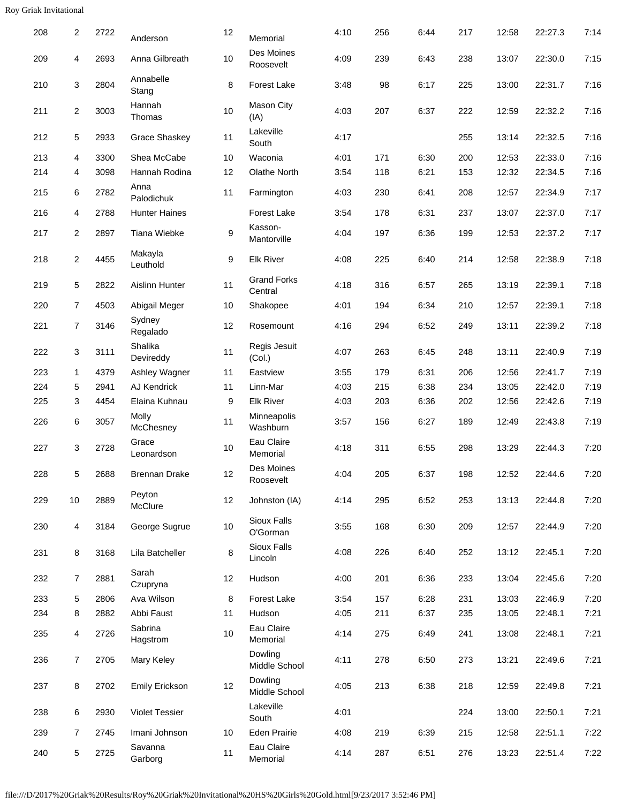| 208 | 2              | 2722 | Anderson              | 12 | Memorial                      | 4:10 | 256 | 6:44 | 217 | 12:58 | 22:27.3 | 7:14 |
|-----|----------------|------|-----------------------|----|-------------------------------|------|-----|------|-----|-------|---------|------|
| 209 | 4              | 2693 | Anna Gilbreath        | 10 | Des Moines<br>Roosevelt       | 4:09 | 239 | 6:43 | 238 | 13:07 | 22:30.0 | 7:15 |
| 210 | 3              | 2804 | Annabelle<br>Stang    | 8  | Forest Lake                   | 3:48 | 98  | 6:17 | 225 | 13:00 | 22:31.7 | 7:16 |
| 211 | 2              | 3003 | Hannah<br>Thomas      | 10 | <b>Mason City</b><br>(IA)     | 4:03 | 207 | 6:37 | 222 | 12:59 | 22:32.2 | 7:16 |
| 212 | 5              | 2933 | <b>Grace Shaskey</b>  | 11 | Lakeville<br>South            | 4:17 |     |      | 255 | 13:14 | 22:32.5 | 7:16 |
| 213 | 4              | 3300 | Shea McCabe           | 10 | Waconia                       | 4:01 | 171 | 6:30 | 200 | 12:53 | 22:33.0 | 7:16 |
| 214 | 4              | 3098 | Hannah Rodina         | 12 | Olathe North                  | 3:54 | 118 | 6:21 | 153 | 12:32 | 22:34.5 | 7:16 |
| 215 | 6              | 2782 | Anna<br>Palodichuk    | 11 | Farmington                    | 4:03 | 230 | 6:41 | 208 | 12:57 | 22:34.9 | 7:17 |
| 216 | 4              | 2788 | <b>Hunter Haines</b>  |    | <b>Forest Lake</b>            | 3:54 | 178 | 6:31 | 237 | 13:07 | 22:37.0 | 7:17 |
| 217 | $\overline{2}$ | 2897 | Tiana Wiebke          | 9  | Kasson-<br>Mantorville        | 4:04 | 197 | 6:36 | 199 | 12:53 | 22:37.2 | 7:17 |
| 218 | $\overline{2}$ | 4455 | Makayla<br>Leuthold   | 9  | <b>Elk River</b>              | 4:08 | 225 | 6:40 | 214 | 12:58 | 22:38.9 | 7:18 |
| 219 | 5              | 2822 | Aislinn Hunter        | 11 | <b>Grand Forks</b><br>Central | 4:18 | 316 | 6:57 | 265 | 13:19 | 22:39.1 | 7:18 |
| 220 | 7              | 4503 | Abigail Meger         | 10 | Shakopee                      | 4:01 | 194 | 6:34 | 210 | 12:57 | 22:39.1 | 7:18 |
| 221 | $\overline{7}$ | 3146 | Sydney<br>Regalado    | 12 | Rosemount                     | 4:16 | 294 | 6:52 | 249 | 13:11 | 22:39.2 | 7:18 |
| 222 | 3              | 3111 | Shalika<br>Devireddy  | 11 | Regis Jesuit<br>(Col.)        | 4:07 | 263 | 6:45 | 248 | 13:11 | 22:40.9 | 7:19 |
| 223 | 1              | 4379 | Ashley Wagner         | 11 | Eastview                      | 3:55 | 179 | 6:31 | 206 | 12:56 | 22:41.7 | 7:19 |
| 224 | 5              | 2941 | AJ Kendrick           | 11 | Linn-Mar                      | 4:03 | 215 | 6:38 | 234 | 13:05 | 22:42.0 | 7:19 |
| 225 | 3              | 4454 | Elaina Kuhnau         | 9  | <b>Elk River</b>              | 4:03 | 203 | 6:36 | 202 | 12:56 | 22:42.6 | 7:19 |
| 226 | 6              | 3057 | Molly<br>McChesney    | 11 | Minneapolis<br>Washburn       | 3:57 | 156 | 6:27 | 189 | 12:49 | 22:43.8 | 7:19 |
| 227 | 3              | 2728 | Grace<br>Leonardson   | 10 | Eau Claire<br>Memorial        | 4:18 | 311 | 6:55 | 298 | 13:29 | 22:44.3 | 7:20 |
| 228 | 5              | 2688 | <b>Brennan Drake</b>  | 12 | Des Moines<br>Roosevelt       | 4:04 | 205 | 6:37 | 198 | 12:52 | 22:44.6 | 7:20 |
| 229 | $10$           | 2889 | Peyton<br>McClure     | 12 | Johnston (IA)                 | 4:14 | 295 | 6:52 | 253 | 13:13 | 22:44.8 | 7:20 |
| 230 | 4              | 3184 | George Sugrue         | 10 | Sioux Falls<br>O'Gorman       | 3:55 | 168 | 6:30 | 209 | 12:57 | 22:44.9 | 7:20 |
| 231 | 8              | 3168 | Lila Batcheller       | 8  | Sioux Falls<br>Lincoln        | 4:08 | 226 | 6:40 | 252 | 13:12 | 22:45.1 | 7:20 |
| 232 | $\overline{7}$ | 2881 | Sarah<br>Czupryna     | 12 | Hudson                        | 4:00 | 201 | 6:36 | 233 | 13:04 | 22:45.6 | 7:20 |
| 233 | 5              | 2806 | Ava Wilson            | 8  | Forest Lake                   | 3:54 | 157 | 6:28 | 231 | 13:03 | 22:46.9 | 7:20 |
| 234 | 8              | 2882 | Abbi Faust            | 11 | Hudson                        | 4:05 | 211 | 6:37 | 235 | 13:05 | 22:48.1 | 7:21 |
| 235 | 4              | 2726 | Sabrina<br>Hagstrom   | 10 | Eau Claire<br>Memorial        | 4:14 | 275 | 6:49 | 241 | 13:08 | 22:48.1 | 7:21 |
| 236 | 7              | 2705 | Mary Keley            |    | Dowling<br>Middle School      | 4:11 | 278 | 6:50 | 273 | 13:21 | 22:49.6 | 7:21 |
| 237 | 8              | 2702 | <b>Emily Erickson</b> | 12 | Dowling<br>Middle School      | 4:05 | 213 | 6:38 | 218 | 12:59 | 22:49.8 | 7:21 |
| 238 | 6              | 2930 | Violet Tessier        |    | Lakeville<br>South            | 4:01 |     |      | 224 | 13:00 | 22:50.1 | 7:21 |
| 239 | 7              | 2745 | Imani Johnson         | 10 | <b>Eden Prairie</b>           | 4:08 | 219 | 6:39 | 215 | 12:58 | 22:51.1 | 7:22 |
| 240 | 5              | 2725 | Savanna<br>Garborg    | 11 | Eau Claire<br>Memorial        | 4:14 | 287 | 6:51 | 276 | 13:23 | 22:51.4 | 7:22 |
|     |                |      |                       |    |                               |      |     |      |     |       |         |      |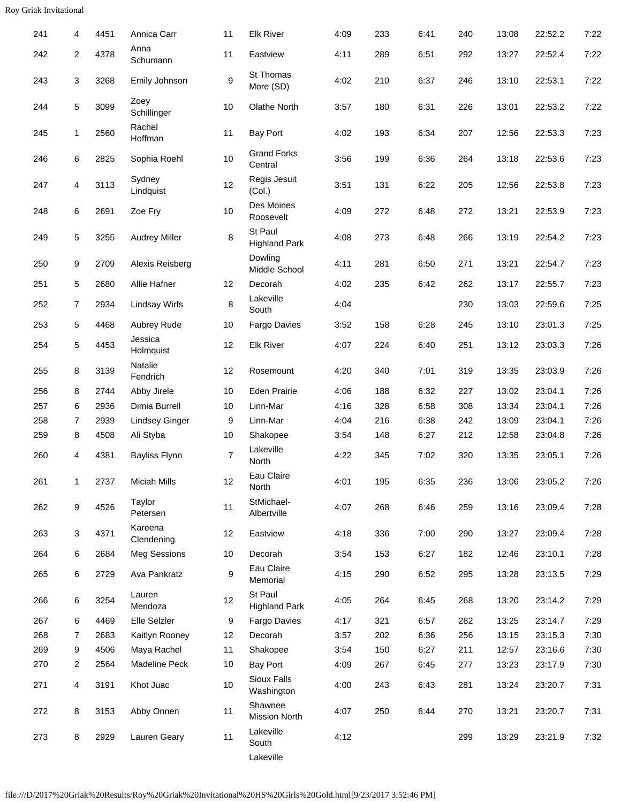| 241 | 4              | 4451 | Annica Carr           | 11             | <b>Elk River</b>                | 4:09 | 233 | 6:41 | 240 | 13:08 | 22:52.2 | 7:22 |
|-----|----------------|------|-----------------------|----------------|---------------------------------|------|-----|------|-----|-------|---------|------|
| 242 | $\overline{2}$ | 4378 | Anna<br>Schumann      | 11             | Eastview                        | 4:11 | 289 | 6:51 | 292 | 13:27 | 22:52.4 | 7:22 |
| 243 | 3              | 3268 | Emily Johnson         | 9              | St Thomas<br>More (SD)          | 4:02 | 210 | 6:37 | 246 | 13:10 | 22:53.1 | 7:22 |
| 244 | 5              | 3099 | Zoey<br>Schillinger   | 10             | Olathe North                    | 3:57 | 180 | 6:31 | 226 | 13:01 | 22:53.2 | 7:22 |
| 245 | 1              | 2560 | Rachel<br>Hoffman     | 11             | <b>Bay Port</b>                 | 4:02 | 193 | 6:34 | 207 | 12:56 | 22:53.3 | 7:23 |
| 246 | 6              | 2825 | Sophia Roehl          | $10$           | <b>Grand Forks</b><br>Central   | 3:56 | 199 | 6:36 | 264 | 13:18 | 22:53.6 | 7:23 |
| 247 | 4              | 3113 | Sydney<br>Lindquist   | 12             | Regis Jesuit<br>(Col.)          | 3:51 | 131 | 6:22 | 205 | 12:56 | 22:53.8 | 7:23 |
| 248 | 6              | 2691 | Zoe Fry               | 10             | Des Moines<br>Roosevelt         | 4:09 | 272 | 6:48 | 272 | 13:21 | 22:53.9 | 7:23 |
| 249 | 5              | 3255 | <b>Audrey Miller</b>  | 8              | St Paul<br><b>Highland Park</b> | 4:08 | 273 | 6:48 | 266 | 13:19 | 22:54.2 | 7:23 |
| 250 | 9              | 2709 | Alexis Reisberg       |                | Dowling<br>Middle School        | 4:11 | 281 | 6:50 | 271 | 13:21 | 22:54.7 | 7:23 |
| 251 | 5              | 2680 | Allie Hafner          | 12             | Decorah                         | 4:02 | 235 | 6:42 | 262 | 13:17 | 22:55.7 | 7:23 |
| 252 | 7              | 2934 | <b>Lindsay Wirfs</b>  | 8              | Lakeville<br>South              | 4:04 |     |      | 230 | 13:03 | 22:59.6 | 7:25 |
| 253 | 5              | 4468 | Aubrey Rude           | 10             | Fargo Davies                    | 3:52 | 158 | 6:28 | 245 | 13:10 | 23:01.3 | 7:25 |
| 254 | 5              | 4453 | Jessica<br>Holmquist  | 12             | <b>Elk River</b>                | 4:07 | 224 | 6:40 | 251 | 13:12 | 23:03.3 | 7:26 |
| 255 | 8              | 3139 | Natalie<br>Fendrich   | 12             | Rosemount                       | 4:20 | 340 | 7:01 | 319 | 13:35 | 23:03.9 | 7:26 |
| 256 | 8              | 2744 | Abby Jirele           | 10             | <b>Eden Prairie</b>             | 4:06 | 188 | 6:32 | 227 | 13:02 | 23:04.1 | 7:26 |
| 257 | 6              | 2936 | Dimia Burrell         | $10$           | Linn-Mar                        | 4:16 | 328 | 6:58 | 308 | 13:34 | 23:04.1 | 7:26 |
| 258 | 7              | 2939 | <b>Lindsey Ginger</b> | 9              | Linn-Mar                        | 4:04 | 216 | 6:38 | 242 | 13:09 | 23:04.1 | 7:26 |
| 259 | 8              | 4508 | Ali Styba             | 10             | Shakopee                        | 3:54 | 148 | 6:27 | 212 | 12:58 | 23:04.8 | 7:26 |
| 260 | 4              | 4381 | <b>Bayliss Flynn</b>  | $\overline{7}$ | Lakeville<br>North              | 4:22 | 345 | 7:02 | 320 | 13:35 | 23:05.1 | 7:26 |
| 261 | $\mathbf 1$    | 2737 | <b>Miciah Mills</b>   | 12             | Eau Claire<br>North             | 4:01 | 195 | 6:35 | 236 | 13:06 | 23:05.2 | 7:26 |
| 262 | 9              | 4526 | Taylor<br>Petersen    | 11             | StMichael-<br>Albertville       | 4:07 | 268 | 6:46 | 259 | 13:16 | 23:09.4 | 7:28 |
| 263 | 3              | 4371 | Kareena<br>Clendening | 12             | Eastview                        | 4:18 | 336 | 7:00 | 290 | 13:27 | 23:09.4 | 7:28 |
| 264 | 6              | 2684 | <b>Meg Sessions</b>   | 10             | Decorah                         | 3:54 | 153 | 6:27 | 182 | 12:46 | 23:10.1 | 7:28 |
| 265 | 6              | 2729 | Ava Pankratz          | 9              | Eau Claire<br>Memorial          | 4:15 | 290 | 6:52 | 295 | 13:28 | 23:13.5 | 7:29 |
| 266 | 6              | 3254 | Lauren<br>Mendoza     | 12             | St Paul<br><b>Highland Park</b> | 4:05 | 264 | 6:45 | 268 | 13:20 | 23:14.2 | 7:29 |
| 267 | 6              | 4469 | Elle Selzler          | 9              | Fargo Davies                    | 4:17 | 321 | 6:57 | 282 | 13:25 | 23:14.7 | 7:29 |
| 268 | 7              | 2683 | Kaitlyn Rooney        | 12             | Decorah                         | 3:57 | 202 | 6:36 | 256 | 13:15 | 23:15.3 | 7:30 |
| 269 | 9              | 4506 | Maya Rachel           | 11             | Shakopee                        | 3:54 | 150 | 6:27 | 211 | 12:57 | 23:16.6 | 7:30 |
| 270 | 2              | 2564 | Madeline Peck         | 10             | Bay Port                        | 4:09 | 267 | 6:45 | 277 | 13:23 | 23:17.9 | 7:30 |
| 271 | 4              | 3191 | Khot Juac             | 10             | Sioux Falls<br>Washington       | 4:00 | 243 | 6:43 | 281 | 13:24 | 23:20.7 | 7:31 |
| 272 | 8              | 3153 | Abby Onnen            | 11             | Shawnee<br><b>Mission North</b> | 4:07 | 250 | 6:44 | 270 | 13:21 | 23:20.7 | 7:31 |
| 273 | 8              | 2929 | Lauren Geary          | 11             | Lakeville<br>South              | 4:12 |     |      | 299 | 13:29 | 23:21.9 | 7:32 |
|     |                |      |                       |                | Lakeville                       |      |     |      |     |       |         |      |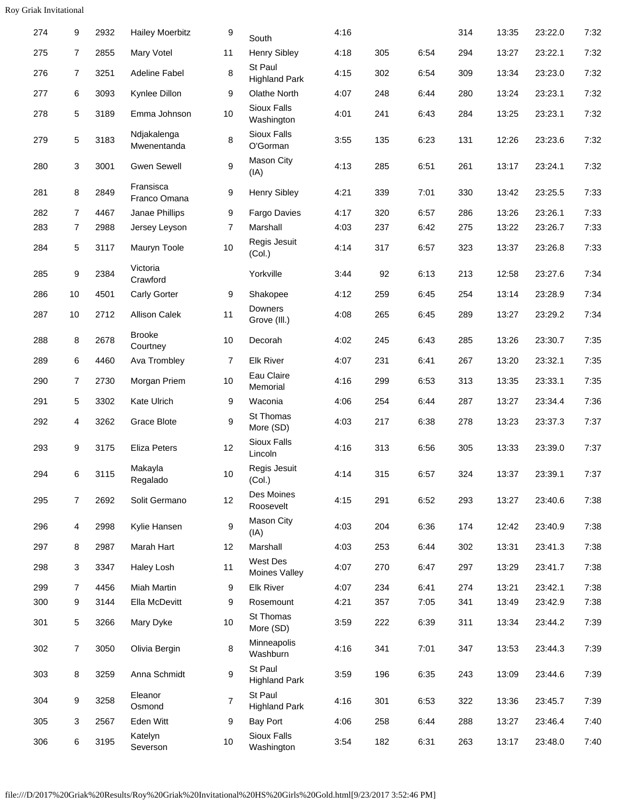| 274 | 9              | 2932 | <b>Hailey Moerbitz</b>     | 9    | South                           | 4:16 |     |      | 314 | 13:35 | 23:22.0 | 7:32 |
|-----|----------------|------|----------------------------|------|---------------------------------|------|-----|------|-----|-------|---------|------|
| 275 | 7              | 2855 | Mary Votel                 | 11   | <b>Henry Sibley</b>             | 4:18 | 305 | 6:54 | 294 | 13:27 | 23:22.1 | 7:32 |
| 276 | $\overline{7}$ | 3251 | <b>Adeline Fabel</b>       | 8    | St Paul<br><b>Highland Park</b> | 4:15 | 302 | 6:54 | 309 | 13:34 | 23:23.0 | 7:32 |
| 277 | 6              | 3093 | Kynlee Dillon              | 9    | <b>Olathe North</b>             | 4:07 | 248 | 6:44 | 280 | 13:24 | 23:23.1 | 7:32 |
| 278 | 5              | 3189 | Emma Johnson               | 10   | Sioux Falls<br>Washington       | 4:01 | 241 | 6:43 | 284 | 13:25 | 23:23.1 | 7:32 |
| 279 | 5              | 3183 | Ndjakalenga<br>Mwenentanda | 8    | <b>Sioux Falls</b><br>O'Gorman  | 3:55 | 135 | 6:23 | 131 | 12:26 | 23:23.6 | 7:32 |
| 280 | 3              | 3001 | <b>Gwen Sewell</b>         | 9    | <b>Mason City</b><br>(IA)       | 4:13 | 285 | 6:51 | 261 | 13:17 | 23:24.1 | 7:32 |
| 281 | 8              | 2849 | Fransisca<br>Franco Omana  | 9    | <b>Henry Sibley</b>             | 4:21 | 339 | 7:01 | 330 | 13:42 | 23:25.5 | 7:33 |
| 282 | $\overline{7}$ | 4467 | Janae Phillips             | 9    | Fargo Davies                    | 4:17 | 320 | 6:57 | 286 | 13:26 | 23:26.1 | 7:33 |
| 283 | 7              | 2988 | Jersey Leyson              | 7    | Marshall                        | 4:03 | 237 | 6:42 | 275 | 13:22 | 23:26.7 | 7:33 |
| 284 | 5              | 3117 | Mauryn Toole               | 10   | Regis Jesuit<br>(Col.)          | 4:14 | 317 | 6:57 | 323 | 13:37 | 23:26.8 | 7:33 |
| 285 | 9              | 2384 | Victoria<br>Crawford       |      | Yorkville                       | 3:44 | 92  | 6:13 | 213 | 12:58 | 23:27.6 | 7:34 |
| 286 | 10             | 4501 | Carly Gorter               | 9    | Shakopee                        | 4:12 | 259 | 6:45 | 254 | 13:14 | 23:28.9 | 7:34 |
| 287 | 10             | 2712 | <b>Allison Calek</b>       | 11   | Downers<br>Grove (III.)         | 4:08 | 265 | 6:45 | 289 | 13:27 | 23:29.2 | 7:34 |
| 288 | 8              | 2678 | <b>Brooke</b><br>Courtney  | $10$ | Decorah                         | 4:02 | 245 | 6:43 | 285 | 13:26 | 23:30.7 | 7:35 |
| 289 | 6              | 4460 | Ava Trombley               | 7    | <b>Elk River</b>                | 4:07 | 231 | 6:41 | 267 | 13:20 | 23:32.1 | 7:35 |
| 290 | 7              | 2730 | Morgan Priem               | 10   | Eau Claire<br>Memorial          | 4:16 | 299 | 6:53 | 313 | 13:35 | 23:33.1 | 7:35 |
| 291 | 5              | 3302 | Kate Ulrich                | 9    | Waconia                         | 4:06 | 254 | 6:44 | 287 | 13:27 | 23:34.4 | 7:36 |
| 292 | 4              | 3262 | Grace Blote                | 9    | St Thomas<br>More (SD)          | 4:03 | 217 | 6:38 | 278 | 13:23 | 23:37.3 | 7:37 |
| 293 | 9              | 3175 | <b>Eliza Peters</b>        | 12   | Sioux Falls<br>Lincoln          | 4:16 | 313 | 6:56 | 305 | 13:33 | 23:39.0 | 7:37 |
| 294 | 6              | 3115 | Makayla<br>Regalado        | $10$ | Regis Jesuit<br>(Col.)          | 4:14 | 315 | 6:57 | 324 | 13:37 | 23:39.1 | 7:37 |
| 295 | $\overline{7}$ | 2692 | Solit Germano              | 12   | Des Moines<br>Roosevelt         | 4:15 | 291 | 6:52 | 293 | 13:27 | 23:40.6 | 7:38 |
| 296 | 4              | 2998 | Kylie Hansen               | 9    | Mason City<br>(IA)              | 4:03 | 204 | 6:36 | 174 | 12:42 | 23:40.9 | 7:38 |
| 297 | 8              | 2987 | Marah Hart                 | 12   | Marshall                        | 4:03 | 253 | 6:44 | 302 | 13:31 | 23:41.3 | 7:38 |
| 298 | 3              | 3347 | Haley Losh                 | 11   | West Des<br>Moines Valley       | 4:07 | 270 | 6:47 | 297 | 13:29 | 23:41.7 | 7:38 |
| 299 | 7              | 4456 | <b>Miah Martin</b>         | 9    | <b>Elk River</b>                | 4:07 | 234 | 6:41 | 274 | 13:21 | 23:42.1 | 7:38 |
| 300 | 9              | 3144 | Ella McDevitt              | 9    | Rosemount                       | 4:21 | 357 | 7:05 | 341 | 13:49 | 23:42.9 | 7:38 |
| 301 | 5              | 3266 | Mary Dyke                  | 10   | St Thomas<br>More (SD)          | 3:59 | 222 | 6:39 | 311 | 13:34 | 23:44.2 | 7:39 |
| 302 | 7              | 3050 | Olivia Bergin              | 8    | Minneapolis<br>Washburn         | 4:16 | 341 | 7:01 | 347 | 13:53 | 23:44.3 | 7:39 |
| 303 | 8              | 3259 | Anna Schmidt               | 9    | St Paul<br><b>Highland Park</b> | 3:59 | 196 | 6:35 | 243 | 13:09 | 23:44.6 | 7:39 |
| 304 | 9              | 3258 | Eleanor<br>Osmond          | 7    | St Paul<br><b>Highland Park</b> | 4:16 | 301 | 6:53 | 322 | 13:36 | 23:45.7 | 7:39 |
| 305 | 3              | 2567 | Eden Witt                  | 9    | <b>Bay Port</b>                 | 4:06 | 258 | 6:44 | 288 | 13:27 | 23:46.4 | 7:40 |
| 306 | 6              | 3195 | Katelyn<br>Severson        | 10   | Sioux Falls<br>Washington       | 3:54 | 182 | 6:31 | 263 | 13:17 | 23:48.0 | 7:40 |
|     |                |      |                            |      |                                 |      |     |      |     |       |         |      |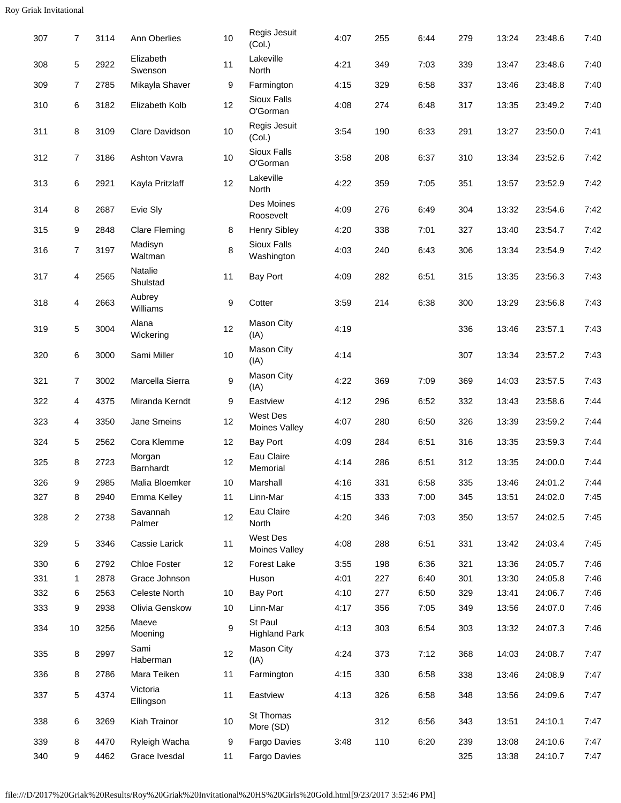| 307 | 7              | 3114 | Ann Oberlies          | 10 | Regis Jesuit<br>(Col.)                  | 4:07 | 255 | 6:44 | 279 | 13:24 | 23:48.6 | 7:40 |
|-----|----------------|------|-----------------------|----|-----------------------------------------|------|-----|------|-----|-------|---------|------|
| 308 | 5              | 2922 | Elizabeth<br>Swenson  | 11 | Lakeville<br>North                      | 4:21 | 349 | 7:03 | 339 | 13:47 | 23:48.6 | 7:40 |
| 309 | $\overline{7}$ | 2785 | Mikayla Shaver        | 9  | Farmington                              | 4:15 | 329 | 6:58 | 337 | 13:46 | 23:48.8 | 7:40 |
| 310 | 6              | 3182 | Elizabeth Kolb        | 12 | Sioux Falls<br>O'Gorman                 | 4:08 | 274 | 6:48 | 317 | 13:35 | 23:49.2 | 7:40 |
| 311 | 8              | 3109 | Clare Davidson        | 10 | Regis Jesuit<br>(Col.)                  | 3:54 | 190 | 6:33 | 291 | 13:27 | 23:50.0 | 7:41 |
| 312 | $\overline{7}$ | 3186 | <b>Ashton Vavra</b>   | 10 | Sioux Falls<br>O'Gorman                 | 3:58 | 208 | 6:37 | 310 | 13:34 | 23:52.6 | 7:42 |
| 313 | 6              | 2921 | Kayla Pritzlaff       | 12 | Lakeville<br>North                      | 4:22 | 359 | 7:05 | 351 | 13:57 | 23:52.9 | 7:42 |
| 314 | 8              | 2687 | Evie Sly              |    | Des Moines<br>Roosevelt                 | 4:09 | 276 | 6:49 | 304 | 13:32 | 23:54.6 | 7:42 |
| 315 | 9              | 2848 | <b>Clare Fleming</b>  | 8  | <b>Henry Sibley</b>                     | 4:20 | 338 | 7:01 | 327 | 13:40 | 23:54.7 | 7:42 |
| 316 | $\overline{7}$ | 3197 | Madisyn<br>Waltman    | 8  | Sioux Falls<br>Washington               | 4:03 | 240 | 6:43 | 306 | 13:34 | 23:54.9 | 7:42 |
| 317 | 4              | 2565 | Natalie<br>Shulstad   | 11 | <b>Bay Port</b>                         | 4:09 | 282 | 6:51 | 315 | 13:35 | 23:56.3 | 7:43 |
| 318 | 4              | 2663 | Aubrey<br>Williams    | 9  | Cotter                                  | 3:59 | 214 | 6:38 | 300 | 13:29 | 23:56.8 | 7:43 |
| 319 | 5              | 3004 | Alana<br>Wickering    | 12 | <b>Mason City</b><br>(IA)               | 4:19 |     |      | 336 | 13:46 | 23:57.1 | 7:43 |
| 320 | 6              | 3000 | Sami Miller           | 10 | <b>Mason City</b><br>(IA)               | 4:14 |     |      | 307 | 13:34 | 23:57.2 | 7:43 |
| 321 | 7              | 3002 | Marcella Sierra       | 9  | Mason City<br>(IA)                      | 4:22 | 369 | 7:09 | 369 | 14:03 | 23:57.5 | 7:43 |
| 322 | 4              | 4375 | Miranda Kerndt        | 9  | Eastview                                | 4:12 | 296 | 6:52 | 332 | 13:43 | 23:58.6 | 7:44 |
| 323 | 4              | 3350 | Jane Smeins           | 12 | <b>West Des</b><br><b>Moines Valley</b> | 4:07 | 280 | 6:50 | 326 | 13:39 | 23:59.2 | 7:44 |
| 324 | 5              | 2562 | Cora Klemme           | 12 | <b>Bay Port</b>                         | 4:09 | 284 | 6:51 | 316 | 13:35 | 23:59.3 | 7:44 |
| 325 | 8              | 2723 | Morgan<br>Barnhardt   | 12 | Eau Claire<br>Memorial                  | 4:14 | 286 | 6:51 | 312 | 13:35 | 24:00.0 | 7:44 |
| 326 | 9              | 2985 | Malia Bloemker        | 10 | Marshall                                | 4:16 | 331 | 6:58 | 335 | 13:46 | 24:01.2 | 7:44 |
| 327 | 8              | 2940 | Emma Kelley           | 11 | Linn-Mar                                | 4:15 | 333 | 7:00 | 345 | 13:51 | 24:02.0 | 7:45 |
| 328 | $\overline{2}$ | 2738 | Savannah<br>Palmer    | 12 | Eau Claire<br>North                     | 4:20 | 346 | 7:03 | 350 | 13:57 | 24:02.5 | 7:45 |
| 329 | 5              | 3346 | Cassie Larick         | 11 | West Des<br><b>Moines Valley</b>        | 4:08 | 288 | 6:51 | 331 | 13:42 | 24:03.4 | 7:45 |
| 330 | 6              | 2792 | Chloe Foster          | 12 | Forest Lake                             | 3:55 | 198 | 6:36 | 321 | 13:36 | 24:05.7 | 7:46 |
| 331 | $\mathbf 1$    | 2878 | Grace Johnson         |    | Huson                                   | 4:01 | 227 | 6:40 | 301 | 13:30 | 24:05.8 | 7:46 |
| 332 | 6              | 2563 | Celeste North         | 10 | <b>Bay Port</b>                         | 4:10 | 277 | 6:50 | 329 | 13:41 | 24:06.7 | 7:46 |
| 333 | 9              | 2938 | Olivia Genskow        | 10 | Linn-Mar                                | 4:17 | 356 | 7:05 | 349 | 13:56 | 24:07.0 | 7:46 |
| 334 | 10             | 3256 | Maeve<br>Moening      | 9  | St Paul<br><b>Highland Park</b>         | 4:13 | 303 | 6:54 | 303 | 13:32 | 24:07.3 | 7:46 |
| 335 | 8              | 2997 | Sami<br>Haberman      | 12 | Mason City<br>(IA)                      | 4:24 | 373 | 7:12 | 368 | 14:03 | 24:08.7 | 7:47 |
| 336 | 8              | 2786 | Mara Teiken           | 11 | Farmington                              | 4:15 | 330 | 6:58 | 338 | 13:46 | 24:08.9 | 7:47 |
| 337 | 5              | 4374 | Victoria<br>Ellingson | 11 | Eastview                                | 4:13 | 326 | 6:58 | 348 | 13:56 | 24:09.6 | 7:47 |
| 338 | 6              | 3269 | Kiah Trainor          | 10 | St Thomas<br>More (SD)                  |      | 312 | 6:56 | 343 | 13:51 | 24:10.1 | 7:47 |
| 339 | 8              | 4470 | Ryleigh Wacha         | 9  | Fargo Davies                            | 3:48 | 110 | 6:20 | 239 | 13:08 | 24:10.6 | 7:47 |
| 340 | 9              | 4462 | Grace Ivesdal         | 11 | Fargo Davies                            |      |     |      | 325 | 13:38 | 24:10.7 | 7:47 |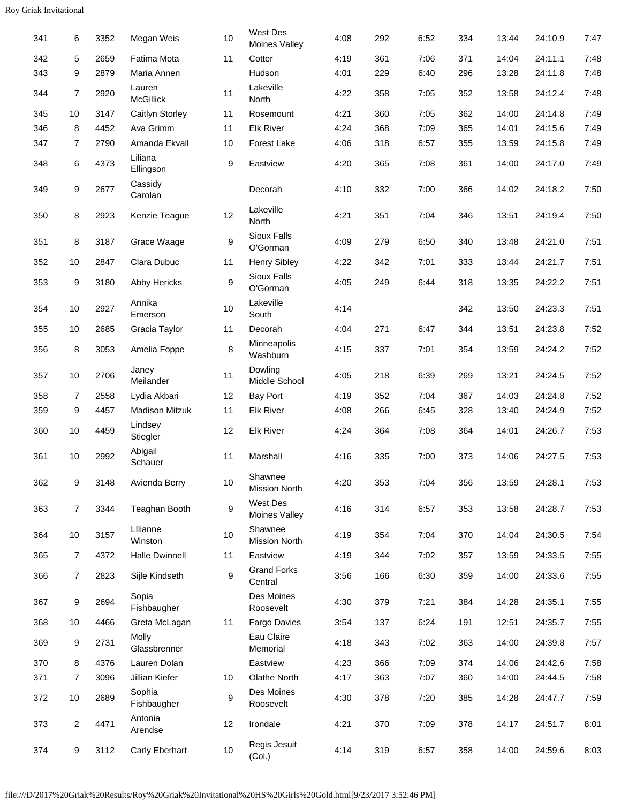| 341 | 6              | 3352 | Megan Weis                 | 10 | West Des<br>Moines Valley        | 4:08 | 292 | 6:52 | 334 | 13:44 | 24:10.9 | 7:47 |
|-----|----------------|------|----------------------------|----|----------------------------------|------|-----|------|-----|-------|---------|------|
| 342 | 5              | 2659 | Fatima Mota                | 11 | Cotter                           | 4:19 | 361 | 7:06 | 371 | 14:04 | 24:11.1 | 7:48 |
| 343 | 9              | 2879 | Maria Annen                |    | Hudson                           | 4:01 | 229 | 6:40 | 296 | 13:28 | 24:11.8 | 7:48 |
| 344 | $\overline{7}$ | 2920 | Lauren<br><b>McGillick</b> | 11 | Lakeville<br>North               | 4:22 | 358 | 7:05 | 352 | 13:58 | 24:12.4 | 7:48 |
| 345 | 10             | 3147 | Caitlyn Storley            | 11 | Rosemount                        | 4:21 | 360 | 7:05 | 362 | 14:00 | 24:14.8 | 7:49 |
| 346 | 8              | 4452 | Ava Grimm                  | 11 | <b>Elk River</b>                 | 4:24 | 368 | 7:09 | 365 | 14:01 | 24:15.6 | 7:49 |
| 347 | 7              | 2790 | Amanda Ekvall              | 10 | <b>Forest Lake</b>               | 4:06 | 318 | 6:57 | 355 | 13:59 | 24:15.8 | 7:49 |
| 348 | 6              | 4373 | Liliana<br>Ellingson       | 9  | Eastview                         | 4:20 | 365 | 7:08 | 361 | 14:00 | 24:17.0 | 7:49 |
| 349 | 9              | 2677 | Cassidy<br>Carolan         |    | Decorah                          | 4:10 | 332 | 7:00 | 366 | 14:02 | 24:18.2 | 7:50 |
| 350 | 8              | 2923 | Kenzie Teague              | 12 | Lakeville<br>North               | 4:21 | 351 | 7:04 | 346 | 13:51 | 24:19.4 | 7:50 |
| 351 | 8              | 3187 | Grace Waage                | 9  | Sioux Falls<br>O'Gorman          | 4:09 | 279 | 6:50 | 340 | 13:48 | 24:21.0 | 7:51 |
| 352 | 10             | 2847 | Clara Dubuc                | 11 | <b>Henry Sibley</b>              | 4:22 | 342 | 7:01 | 333 | 13:44 | 24:21.7 | 7:51 |
| 353 | 9              | 3180 | Abby Hericks               | 9  | Sioux Falls<br>O'Gorman          | 4:05 | 249 | 6:44 | 318 | 13:35 | 24:22.2 | 7:51 |
| 354 | $10$           | 2927 | Annika<br>Emerson          | 10 | Lakeville<br>South               | 4:14 |     |      | 342 | 13:50 | 24:23.3 | 7:51 |
| 355 | 10             | 2685 | Gracia Taylor              | 11 | Decorah                          | 4:04 | 271 | 6:47 | 344 | 13:51 | 24:23.8 | 7:52 |
| 356 | 8              | 3053 | Amelia Foppe               | 8  | Minneapolis<br>Washburn          | 4:15 | 337 | 7:01 | 354 | 13:59 | 24:24.2 | 7:52 |
| 357 | $10$           | 2706 | Janey<br>Meilander         | 11 | Dowling<br>Middle School         | 4:05 | 218 | 6:39 | 269 | 13:21 | 24:24.5 | 7:52 |
| 358 | $\overline{7}$ | 2558 | Lydia Akbari               | 12 | <b>Bay Port</b>                  | 4:19 | 352 | 7:04 | 367 | 14:03 | 24:24.8 | 7:52 |
| 359 | 9              | 4457 | <b>Madison Mitzuk</b>      | 11 | <b>Elk River</b>                 | 4:08 | 266 | 6:45 | 328 | 13:40 | 24:24.9 | 7:52 |
| 360 | 10             | 4459 | Lindsey<br>Stiegler        | 12 | <b>Elk River</b>                 | 4:24 | 364 | 7:08 | 364 | 14:01 | 24:26.7 | 7:53 |
| 361 | 10             | 2992 | Abigail<br>Schauer         | 11 | Marshall                         | 4:16 | 335 | 7:00 | 373 | 14:06 | 24:27.5 | 7:53 |
| 362 | 9              | 3148 | Avienda Berry              | 10 | Shawnee<br><b>Mission North</b>  | 4:20 | 353 | 7:04 | 356 | 13:59 | 24:28.1 | 7:53 |
| 363 | $\overline{7}$ | 3344 | Teaghan Booth              | 9  | West Des<br><b>Moines Valley</b> | 4:16 | 314 | 6:57 | 353 | 13:58 | 24:28.7 | 7:53 |
| 364 | 10             | 3157 | Lllianne<br>Winston        | 10 | Shawnee<br>Mission North         | 4:19 | 354 | 7:04 | 370 | 14:04 | 24:30.5 | 7:54 |
| 365 | 7              | 4372 | <b>Halle Dwinnell</b>      | 11 | Eastview                         | 4:19 | 344 | 7:02 | 357 | 13:59 | 24:33.5 | 7:55 |
| 366 | $\overline{7}$ | 2823 | Sijle Kindseth             | 9  | <b>Grand Forks</b><br>Central    | 3:56 | 166 | 6:30 | 359 | 14:00 | 24:33.6 | 7:55 |
| 367 | 9              | 2694 | Sopia<br>Fishbaugher       |    | Des Moines<br>Roosevelt          | 4:30 | 379 | 7:21 | 384 | 14:28 | 24:35.1 | 7:55 |
| 368 | 10             | 4466 | Greta McLagan              | 11 | Fargo Davies                     | 3:54 | 137 | 6:24 | 191 | 12:51 | 24:35.7 | 7:55 |
| 369 | 9              | 2731 | Molly<br>Glassbrenner      |    | Eau Claire<br>Memorial           | 4:18 | 343 | 7:02 | 363 | 14:00 | 24:39.8 | 7:57 |
| 370 | 8              | 4376 | Lauren Dolan               |    | Eastview                         | 4:23 | 366 | 7:09 | 374 | 14:06 | 24:42.6 | 7:58 |
| 371 | 7              | 3096 | Jillian Kiefer             | 10 | <b>Olathe North</b>              | 4:17 | 363 | 7:07 | 360 | 14:00 | 24:44.5 | 7:58 |
| 372 | 10             | 2689 | Sophia<br>Fishbaugher      | 9  | Des Moines<br>Roosevelt          | 4:30 | 378 | 7:20 | 385 | 14:28 | 24:47.7 | 7:59 |
| 373 | 2              | 4471 | Antonia<br>Arendse         | 12 | Irondale                         | 4:21 | 370 | 7:09 | 378 | 14:17 | 24:51.7 | 8:01 |
| 374 | 9              | 3112 | Carly Eberhart             | 10 | Regis Jesuit<br>(Col.)           | 4:14 | 319 | 6:57 | 358 | 14:00 | 24:59.6 | 8:03 |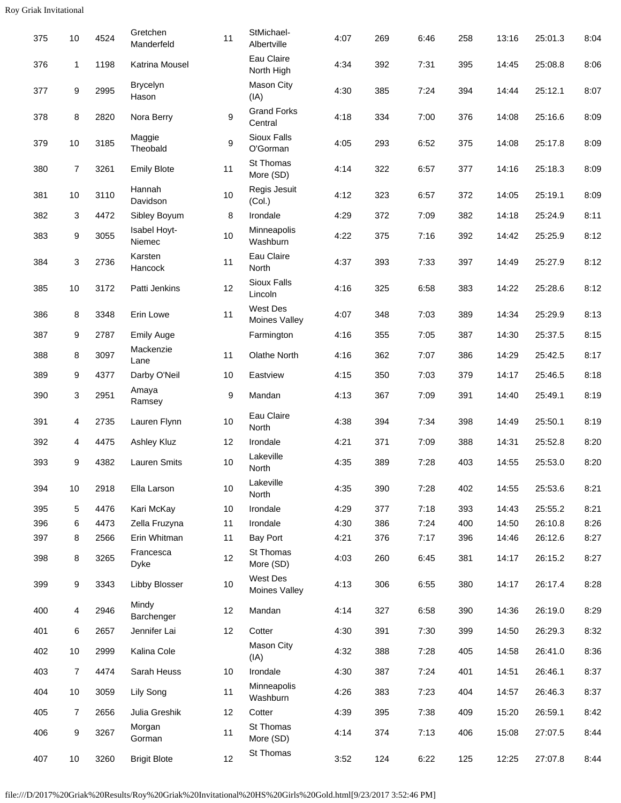| 375 | 10             | 4524 | Gretchen<br>Manderfeld   | 11     | StMichael-<br>Albertville     | 4:07 | 269 | 6:46 | 258 | 13:16 | 25:01.3 | 8:04 |
|-----|----------------|------|--------------------------|--------|-------------------------------|------|-----|------|-----|-------|---------|------|
| 376 | 1              | 1198 | Katrina Mousel           |        | Eau Claire<br>North High      | 4:34 | 392 | 7:31 | 395 | 14:45 | 25:08.8 | 8:06 |
| 377 | 9              | 2995 | <b>Brycelyn</b><br>Hason |        | <b>Mason City</b><br>(IA)     | 4:30 | 385 | 7:24 | 394 | 14:44 | 25:12.1 | 8:07 |
| 378 | 8              | 2820 | Nora Berry               | 9      | <b>Grand Forks</b><br>Central | 4:18 | 334 | 7:00 | 376 | 14:08 | 25:16.6 | 8:09 |
| 379 | $10$           | 3185 | Maggie<br>Theobald       | 9      | Sioux Falls<br>O'Gorman       | 4:05 | 293 | 6:52 | 375 | 14:08 | 25:17.8 | 8:09 |
| 380 | $\overline{7}$ | 3261 | <b>Emily Blote</b>       | 11     | <b>St Thomas</b><br>More (SD) | 4:14 | 322 | 6:57 | 377 | 14:16 | 25:18.3 | 8:09 |
| 381 | $10$           | 3110 | Hannah<br>Davidson       | 10     | Regis Jesuit<br>(Col.)        | 4:12 | 323 | 6:57 | 372 | 14:05 | 25:19.1 | 8:09 |
| 382 | 3              | 4472 | Sibley Boyum             | 8      | Irondale                      | 4:29 | 372 | 7:09 | 382 | 14:18 | 25:24.9 | 8:11 |
| 383 | 9              | 3055 | Isabel Hoyt-<br>Niemec   | $10$   | Minneapolis<br>Washburn       | 4:22 | 375 | 7:16 | 392 | 14:42 | 25:25.9 | 8:12 |
| 384 | 3              | 2736 | Karsten<br>Hancock       | 11     | Eau Claire<br>North           | 4:37 | 393 | 7:33 | 397 | 14:49 | 25:27.9 | 8:12 |
| 385 | $10$           | 3172 | Patti Jenkins            | 12     | Sioux Falls<br>Lincoln        | 4:16 | 325 | 6:58 | 383 | 14:22 | 25:28.6 | 8:12 |
| 386 | 8              | 3348 | Erin Lowe                | 11     | West Des<br>Moines Valley     | 4:07 | 348 | 7:03 | 389 | 14:34 | 25:29.9 | 8:13 |
| 387 | 9              | 2787 | <b>Emily Auge</b>        |        | Farmington                    | 4:16 | 355 | 7:05 | 387 | 14:30 | 25:37.5 | 8:15 |
| 388 | 8              | 3097 | Mackenzie<br>Lane        | 11     | Olathe North                  | 4:16 | 362 | 7:07 | 386 | 14:29 | 25:42.5 | 8:17 |
| 389 | 9              | 4377 | Darby O'Neil             | 10     | Eastview                      | 4:15 | 350 | 7:03 | 379 | 14:17 | 25:46.5 | 8:18 |
| 390 | 3              | 2951 | Amaya<br>Ramsey          | 9      | Mandan                        | 4:13 | 367 | 7:09 | 391 | 14:40 | 25:49.1 | 8:19 |
| 391 | 4              | 2735 | Lauren Flynn             | $10\,$ | Eau Claire<br>North           | 4:38 | 394 | 7:34 | 398 | 14:49 | 25:50.1 | 8:19 |
| 392 | 4              | 4475 | Ashley Kluz              | 12     | Irondale                      | 4:21 | 371 | 7:09 | 388 | 14:31 | 25:52.8 | 8:20 |
| 393 | 9              | 4382 | <b>Lauren Smits</b>      | $10$   | Lakeville<br>North            | 4:35 | 389 | 7:28 | 403 | 14:55 | 25:53.0 | 8:20 |
| 394 | 10             | 2918 | Ella Larson              | 10     | Lakeville<br>North            | 4:35 | 390 | 7:28 | 402 | 14:55 | 25:53.6 | 8:21 |
| 395 | 5              | 4476 | Kari McKay               | 10     | Irondale                      | 4:29 | 377 | 7:18 | 393 | 14:43 | 25:55.2 | 8:21 |
| 396 | 6              | 4473 | Zella Fruzyna            | 11     | Irondale                      | 4:30 | 386 | 7:24 | 400 | 14:50 | 26:10.8 | 8:26 |
| 397 | 8              | 2566 | Erin Whitman             | 11     | <b>Bay Port</b>               | 4:21 | 376 | 7:17 | 396 | 14:46 | 26:12.6 | 8:27 |
| 398 | 8              | 3265 | Francesca<br>Dyke        | 12     | St Thomas<br>More (SD)        | 4:03 | 260 | 6:45 | 381 | 14:17 | 26:15.2 | 8:27 |
| 399 | 9              | 3343 | Libby Blosser            | $10$   | West Des<br>Moines Valley     | 4:13 | 306 | 6:55 | 380 | 14:17 | 26:17.4 | 8:28 |
| 400 | $\overline{4}$ | 2946 | Mindy<br>Barchenger      | 12     | Mandan                        | 4:14 | 327 | 6:58 | 390 | 14:36 | 26:19.0 | 8:29 |
| 401 | 6              | 2657 | Jennifer Lai             | 12     | Cotter                        | 4:30 | 391 | 7:30 | 399 | 14:50 | 26:29.3 | 8:32 |
| 402 | 10             | 2999 | Kalina Cole              |        | Mason City<br>(IA)            | 4:32 | 388 | 7:28 | 405 | 14:58 | 26:41.0 | 8:36 |
| 403 | 7              | 4474 | Sarah Heuss              | $10$   | Irondale                      | 4:30 | 387 | 7:24 | 401 | 14:51 | 26:46.1 | 8:37 |
| 404 | 10             | 3059 | Lily Song                | 11     | Minneapolis<br>Washburn       | 4:26 | 383 | 7:23 | 404 | 14:57 | 26:46.3 | 8:37 |
| 405 | 7              | 2656 | Julia Greshik            | 12     | Cotter                        | 4:39 | 395 | 7:38 | 409 | 15:20 | 26:59.1 | 8:42 |
| 406 | 9              | 3267 | Morgan<br>Gorman         | 11     | St Thomas<br>More (SD)        | 4:14 | 374 | 7:13 | 406 | 15:08 | 27:07.5 | 8:44 |
| 407 | 10             | 3260 | <b>Brigit Blote</b>      | 12     | St Thomas                     | 3:52 | 124 | 6:22 | 125 | 12:25 | 27:07.8 | 8:44 |